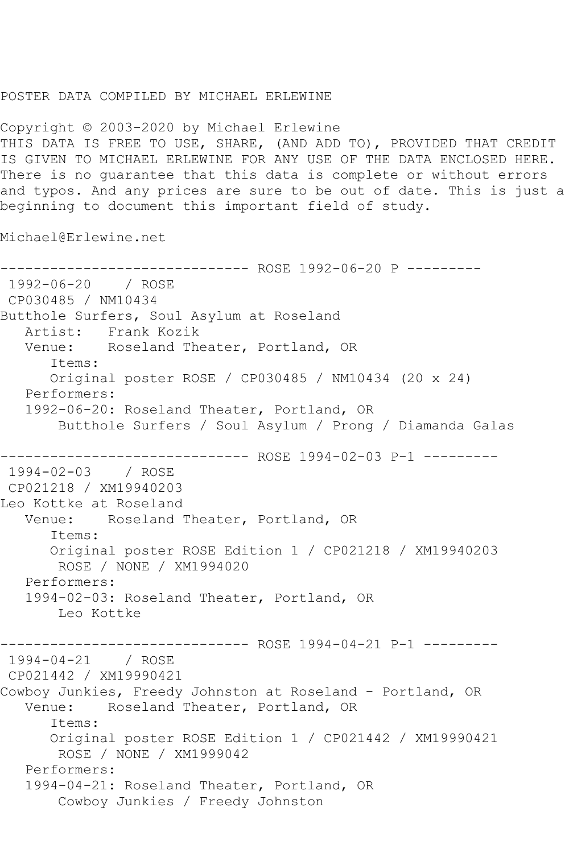## POSTER DATA COMPILED BY MICHAEL ERLEWINE

Copyright © 2003-2020 by Michael Erlewine THIS DATA IS FREE TO USE, SHARE, (AND ADD TO), PROVIDED THAT CREDIT IS GIVEN TO MICHAEL ERLEWINE FOR ANY USE OF THE DATA ENCLOSED HERE. There is no guarantee that this data is complete or without errors and typos. And any prices are sure to be out of date. This is just a beginning to document this important field of study.

Michael@Erlewine.net

------------------------------ ROSE 1992-06-20 P --------- 1992-06-20 / ROSE CP030485 / NM10434 Butthole Surfers, Soul Asylum at Roseland Artist: Frank Kozik Venue: Roseland Theater, Portland, OR Items: Original poster ROSE / CP030485 / NM10434 (20 x 24) Performers: 1992-06-20: Roseland Theater, Portland, OR Butthole Surfers / Soul Asylum / Prong / Diamanda Galas ------------------------------ ROSE 1994-02-03 P-1 --------- 1994-02-03 / ROSE CP021218 / XM19940203 Leo Kottke at Roseland Venue: Roseland Theater, Portland, OR Items: Original poster ROSE Edition 1 / CP021218 / XM19940203 ROSE / NONE / XM1994020 Performers: 1994-02-03: Roseland Theater, Portland, OR Leo Kottke ------------------------------ ROSE 1994-04-21 P-1 --------- 1994-04-21 / ROSE CP021442 / XM19990421 Cowboy Junkies, Freedy Johnston at Roseland - Portland, OR<br>Venue: Roseland Theater, Portland, OR Roseland Theater, Portland, OR Items: Original poster ROSE Edition 1 / CP021442 / XM19990421 ROSE / NONE / XM1999042 Performers: 1994-04-21: Roseland Theater, Portland, OR Cowboy Junkies / Freedy Johnston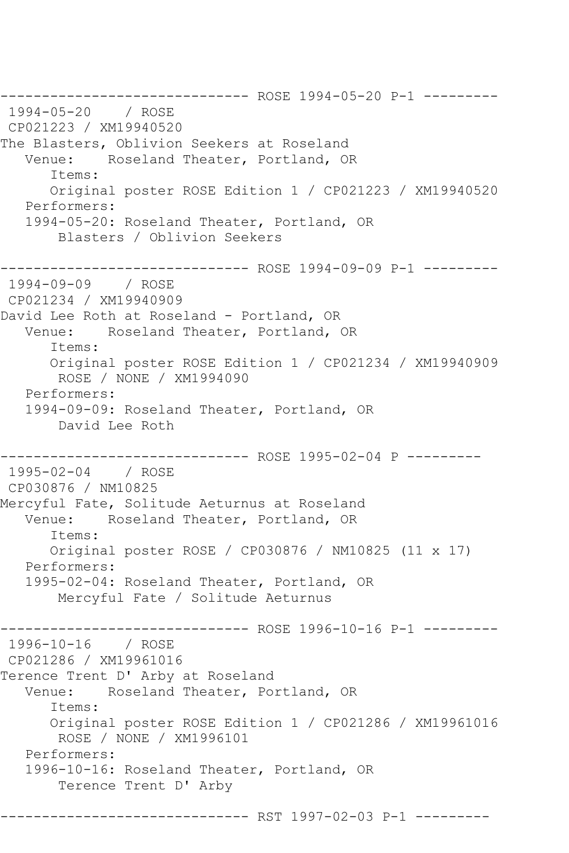------------------------------ ROSE 1994-05-20 P-1 --------- 1994-05-20 / ROSE CP021223 / XM19940520 The Blasters, Oblivion Seekers at Roseland<br>Venue: Roseland Theater, Portland, OB Roseland Theater, Portland, OR Items: Original poster ROSE Edition 1 / CP021223 / XM19940520 Performers: 1994-05-20: Roseland Theater, Portland, OR Blasters / Oblivion Seekers ------------------------------ ROSE 1994-09-09 P-1 --------- 1994-09-09 / ROSE CP021234 / XM19940909 David Lee Roth at Roseland - Portland, OR Venue: Roseland Theater, Portland, OR Items: Original poster ROSE Edition 1 / CP021234 / XM19940909 ROSE / NONE / XM1994090 Performers: 1994-09-09: Roseland Theater, Portland, OR David Lee Roth ------------------------------ ROSE 1995-02-04 P --------- 1995-02-04 / ROSE CP030876 / NM10825 Mercyful Fate, Solitude Aeturnus at Roseland Venue: Roseland Theater, Portland, OR Items: Original poster ROSE / CP030876 / NM10825 (11 x 17) Performers: 1995-02-04: Roseland Theater, Portland, OR Mercyful Fate / Solitude Aeturnus ---------- ROSE 1996-10-16 P-1 ---------1996-10-16 / ROSE CP021286 / XM19961016 Terence Trent D' Arby at Roseland Venue: Roseland Theater, Portland, OR Items: Original poster ROSE Edition 1 / CP021286 / XM19961016 ROSE / NONE / XM1996101 Performers: 1996-10-16: Roseland Theater, Portland, OR Terence Trent D' Arby ------------------ RST 1997-02-03 P-1 ---------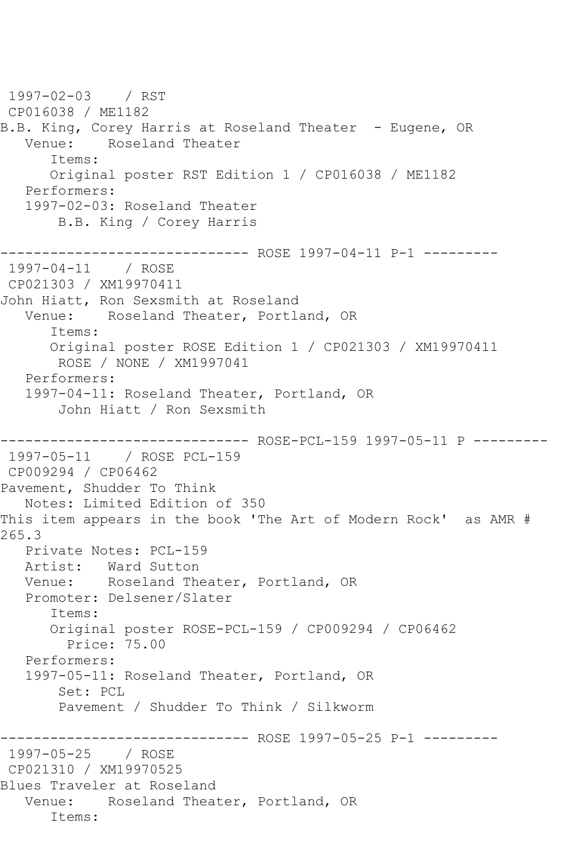1997-02-03 / RST CP016038 / ME1182 B.B. King, Corey Harris at Roseland Theater - Eugene, OR Venue: Roseland Theater Items: Original poster RST Edition 1 / CP016038 / ME1182 Performers: 1997-02-03: Roseland Theater B.B. King / Corey Harris ------------------------------ ROSE 1997-04-11 P-1 --------- 1997-04-11 / ROSE CP021303 / XM19970411 John Hiatt, Ron Sexsmith at Roseland Venue: Roseland Theater, Portland, OR Items: Original poster ROSE Edition 1 / CP021303 / XM19970411 ROSE / NONE / XM1997041 Performers: 1997-04-11: Roseland Theater, Portland, OR John Hiatt / Ron Sexsmith ------------------------------ ROSE-PCL-159 1997-05-11 P --------- 1997-05-11 / ROSE PCL-159 CP009294 / CP06462 Pavement, Shudder To Think Notes: Limited Edition of 350 This item appears in the book 'The Art of Modern Rock' as AMR # 265.3 Private Notes: PCL-159 Artist: Ward Sutton Venue: Roseland Theater, Portland, OR Promoter: Delsener/Slater Items: Original poster ROSE-PCL-159 / CP009294 / CP06462 Price: 75.00 Performers: 1997-05-11: Roseland Theater, Portland, OR Set: PCL Pavement / Shudder To Think / Silkworm ------------------------------ ROSE 1997-05-25 P-1 --------- 1997-05-25 / ROSE CP021310 / XM19970525 Blues Traveler at Roseland Venue: Roseland Theater, Portland, OR Items: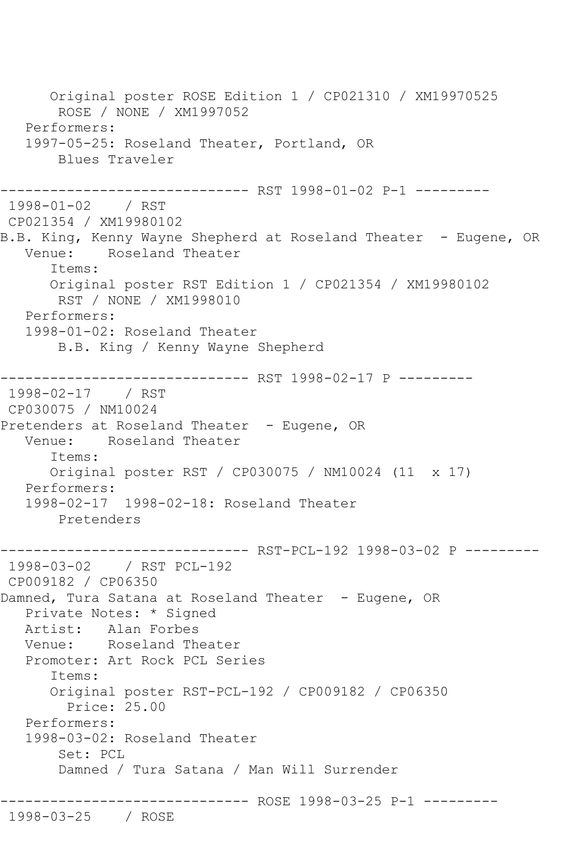Original poster ROSE Edition 1 / CP021310 / XM19970525 ROSE / NONE / XM1997052 Performers: 1997-05-25: Roseland Theater, Portland, OR Blues Traveler ------------------------------ RST 1998-01-02 P-1 --------- 1998-01-02 / RST CP021354 / XM19980102 B.B. King, Kenny Wayne Shepherd at Roseland Theater - Eugene, OR<br>Venue: Roseland Theater Roseland Theater Items: Original poster RST Edition 1 / CP021354 / XM19980102 RST / NONE / XM1998010 Performers: 1998-01-02: Roseland Theater B.B. King / Kenny Wayne Shepherd ------------------------------ RST 1998-02-17 P --------- 1998-02-17 / RST CP030075 / NM10024 Pretenders at Roseland Theater - Eugene, OR Venue: Roseland Theater Items: Original poster RST / CP030075 / NM10024 (11 x 17) Performers: 1998-02-17 1998-02-18: Roseland Theater Pretenders ------------------------------ RST-PCL-192 1998-03-02 P --------- 1998-03-02 / RST PCL-192 CP009182 / CP06350 Damned, Tura Satana at Roseland Theater - Eugene, OR Private Notes: \* Signed Artist: Alan Forbes Venue: Roseland Theater Promoter: Art Rock PCL Series Items: Original poster RST-PCL-192 / CP009182 / CP06350 Price: 25.00 Performers: 1998-03-02: Roseland Theater Set: PCL Damned / Tura Satana / Man Will Surrender ------------------------------ ROSE 1998-03-25 P-1 --------- 1998-03-25 / ROSE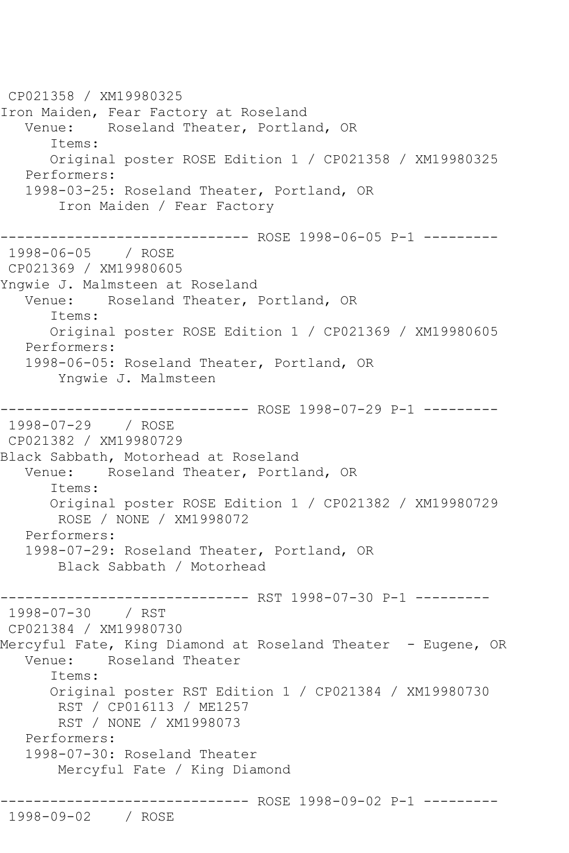CP021358 / XM19980325 Iron Maiden, Fear Factory at Roseland Venue: Roseland Theater, Portland, OR Items: Original poster ROSE Edition 1 / CP021358 / XM19980325 Performers: 1998-03-25: Roseland Theater, Portland, OR Iron Maiden / Fear Factory ------------- ROSE 1998-06-05 P-1 ---------1998-06-05 / ROSE CP021369 / XM19980605 Yngwie J. Malmsteen at Roseland Venue: Roseland Theater, Portland, OR Items: Original poster ROSE Edition 1 / CP021369 / XM19980605 Performers: 1998-06-05: Roseland Theater, Portland, OR Yngwie J. Malmsteen ------------------------------ ROSE 1998-07-29 P-1 --------- 1998-07-29 / ROSE CP021382 / XM19980729 Black Sabbath, Motorhead at Roseland Venue: Roseland Theater, Portland, OR Items: Original poster ROSE Edition 1 / CP021382 / XM19980729 ROSE / NONE / XM1998072 Performers: 1998-07-29: Roseland Theater, Portland, OR Black Sabbath / Motorhead ------------------------------ RST 1998-07-30 P-1 --------- 1998-07-30 / RST CP021384 / XM19980730 Mercyful Fate, King Diamond at Roseland Theater - Eugene, OR Venue: Roseland Theater Items: Original poster RST Edition 1 / CP021384 / XM19980730 RST / CP016113 / ME1257 RST / NONE / XM1998073 Performers: 1998-07-30: Roseland Theater Mercyful Fate / King Diamond ------------ ROSE 1998-09-02 P-1 ---------1998-09-02 / ROSE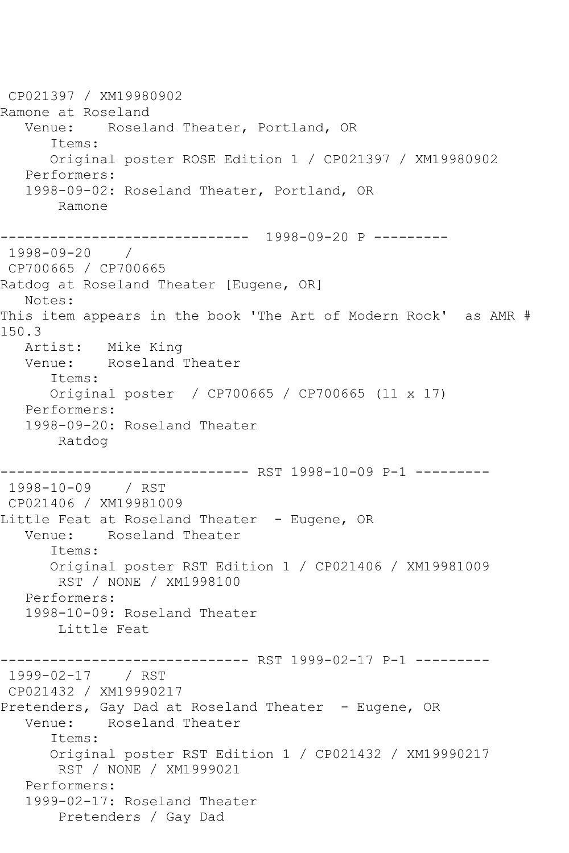CP021397 / XM19980902 Ramone at Roseland Venue: Roseland Theater, Portland, OR Items: Original poster ROSE Edition 1 / CP021397 / XM19980902 Performers: 1998-09-02: Roseland Theater, Portland, OR Ramone ------------------------------ 1998-09-20 P --------- 1998-09-20 / CP700665 / CP700665 Ratdog at Roseland Theater [Eugene, OR] Notes: This item appears in the book 'The Art of Modern Rock' as AMR # 150.3 Artist: Mike King<br>Venue: Roseland Roseland Theater Items: Original poster / CP700665 / CP700665 (11 x 17) Performers: 1998-09-20: Roseland Theater Ratdog ------------------------------ RST 1998-10-09 P-1 --------- 1998-10-09 / RST CP021406 / XM19981009 Little Feat at Roseland Theater - Eugene, OR Venue: Roseland Theater Items: Original poster RST Edition 1 / CP021406 / XM19981009 RST / NONE / XM1998100 Performers: 1998-10-09: Roseland Theater Little Feat ------------------------------ RST 1999-02-17 P-1 --------- 1999-02-17 / RST CP021432 / XM19990217 Pretenders, Gay Dad at Roseland Theater - Eugene, OR Venue: Roseland Theater Items: Original poster RST Edition 1 / CP021432 / XM19990217 RST / NONE / XM1999021 Performers: 1999-02-17: Roseland Theater Pretenders / Gay Dad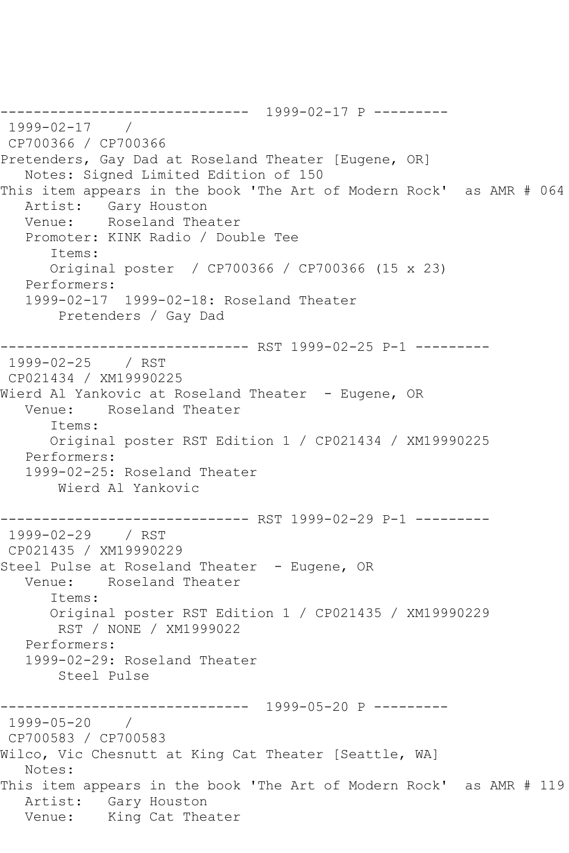------------------------------ 1999-02-17 P --------- 1999-02-17 / CP700366 / CP700366 Pretenders, Gay Dad at Roseland Theater [Eugene, OR] Notes: Signed Limited Edition of 150 This item appears in the book 'The Art of Modern Rock' as AMR # 064 Artist: Gary Houston Venue: Roseland Theater Promoter: KINK Radio / Double Tee Items: Original poster / CP700366 / CP700366 (15 x 23) Performers: 1999-02-17 1999-02-18: Roseland Theater Pretenders / Gay Dad ------------------------------ RST 1999-02-25 P-1 --------- 1999-02-25 / RST CP021434 / XM19990225 Wierd Al Yankovic at Roseland Theater - Eugene, OR Venue: Roseland Theater Items: Original poster RST Edition 1 / CP021434 / XM19990225 Performers: 1999-02-25: Roseland Theater Wierd Al Yankovic ------------------------------ RST 1999-02-29 P-1 --------- 1999-02-29 / RST CP021435 / XM19990229 Steel Pulse at Roseland Theater - Eugene, OR Venue: Roseland Theater Items: Original poster RST Edition 1 / CP021435 / XM19990229 RST / NONE / XM1999022 Performers: 1999-02-29: Roseland Theater Steel Pulse ------------------------------ 1999-05-20 P --------- 1999-05-20 / CP700583 / CP700583 Wilco, Vic Chesnutt at King Cat Theater [Seattle, WA] Notes: This item appears in the book 'The Art of Modern Rock' as AMR # 119 Artist: Gary Houston Venue: King Cat Theater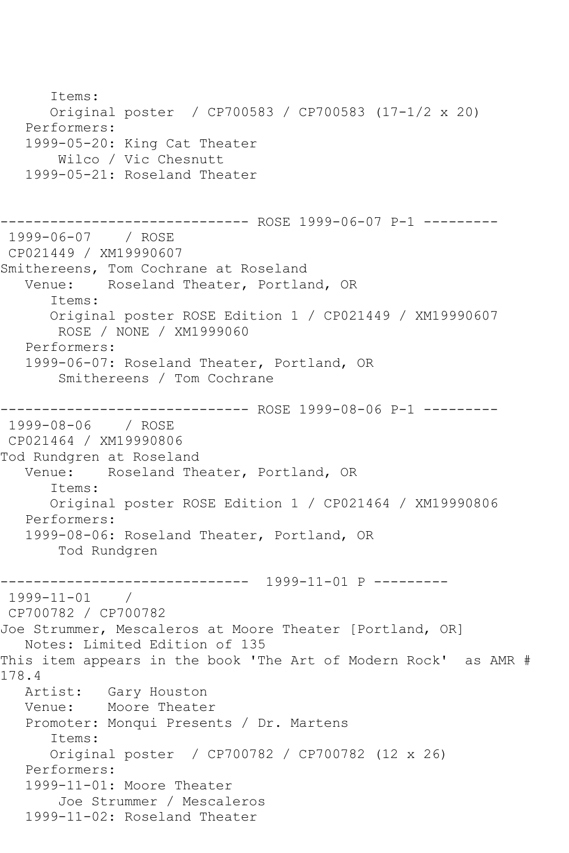Items: Original poster / CP700583 / CP700583 (17-1/2 x 20) Performers: 1999-05-20: King Cat Theater Wilco / Vic Chesnutt 1999-05-21: Roseland Theater ------------------------------ ROSE 1999-06-07 P-1 --------- 1999-06-07 / ROSE CP021449 / XM19990607 Smithereens, Tom Cochrane at Roseland Venue: Roseland Theater, Portland, OR Items: Original poster ROSE Edition 1 / CP021449 / XM19990607 ROSE / NONE / XM1999060 Performers: 1999-06-07: Roseland Theater, Portland, OR Smithereens / Tom Cochrane ------------------------------ ROSE 1999-08-06 P-1 --------- 1999-08-06 / ROSE CP021464 / XM19990806 Tod Rundgren at Roseland Venue: Roseland Theater, Portland, OR Items: Original poster ROSE Edition 1 / CP021464 / XM19990806 Performers: 1999-08-06: Roseland Theater, Portland, OR Tod Rundgren ------------------------------ 1999-11-01 P --------- 1999-11-01 / CP700782 / CP700782 Joe Strummer, Mescaleros at Moore Theater [Portland, OR] Notes: Limited Edition of 135 This item appears in the book 'The Art of Modern Rock' as AMR # 178.4 Artist: Gary Houston Venue: Moore Theater Promoter: Monqui Presents / Dr. Martens Items: Original poster / CP700782 / CP700782 (12 x 26) Performers: 1999-11-01: Moore Theater Joe Strummer / Mescaleros 1999-11-02: Roseland Theater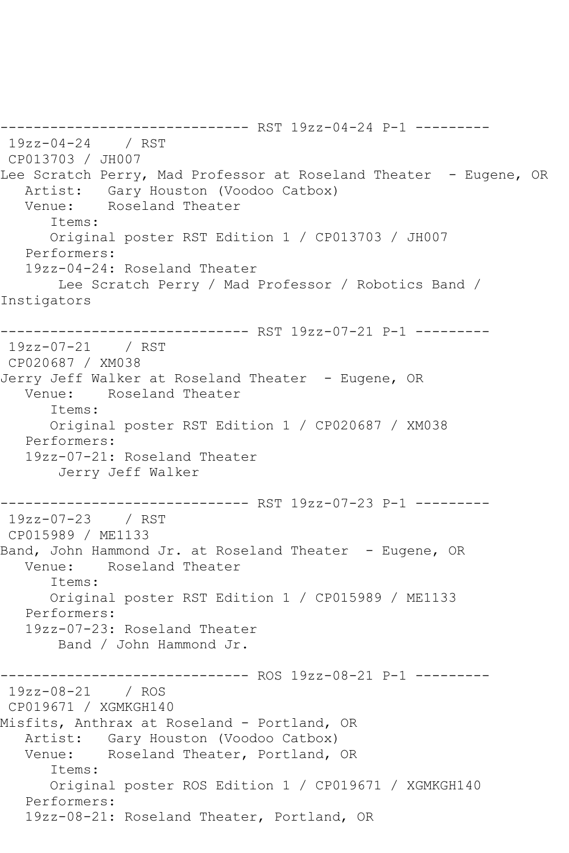------------------------------ RST 19zz-04-24 P-1 --------- 19zz-04-24 / RST CP013703 / JH007 Lee Scratch Perry, Mad Professor at Roseland Theater - Eugene, OR Artist: Gary Houston (Voodoo Catbox)<br>Venue: Roseland Theater Roseland Theater Items: Original poster RST Edition 1 / CP013703 / JH007 Performers: 19zz-04-24: Roseland Theater Lee Scratch Perry / Mad Professor / Robotics Band / Instigators ------------------------------ RST 19zz-07-21 P-1 --------- 19zz-07-21 / RST CP020687 / XM038 Jerry Jeff Walker at Roseland Theater - Eugene, OR Venue: Roseland Theater Items: Original poster RST Edition 1 / CP020687 / XM038 Performers: 19zz-07-21: Roseland Theater Jerry Jeff Walker ------------------------------ RST 19zz-07-23 P-1 --------- 19zz-07-23 / RST CP015989 / ME1133 Band, John Hammond Jr. at Roseland Theater - Eugene, OR Venue: Roseland Theater Items: Original poster RST Edition 1 / CP015989 / ME1133 Performers: 19zz-07-23: Roseland Theater Band / John Hammond Jr. ------------------------------ ROS 19zz-08-21 P-1 --------- 19zz-08-21 / ROS CP019671 / XGMKGH140 Misfits, Anthrax at Roseland - Portland, OR Artist: Gary Houston (Voodoo Catbox) Venue: Roseland Theater, Portland, OR Items: Original poster ROS Edition 1 / CP019671 / XGMKGH140 Performers: 19zz-08-21: Roseland Theater, Portland, OR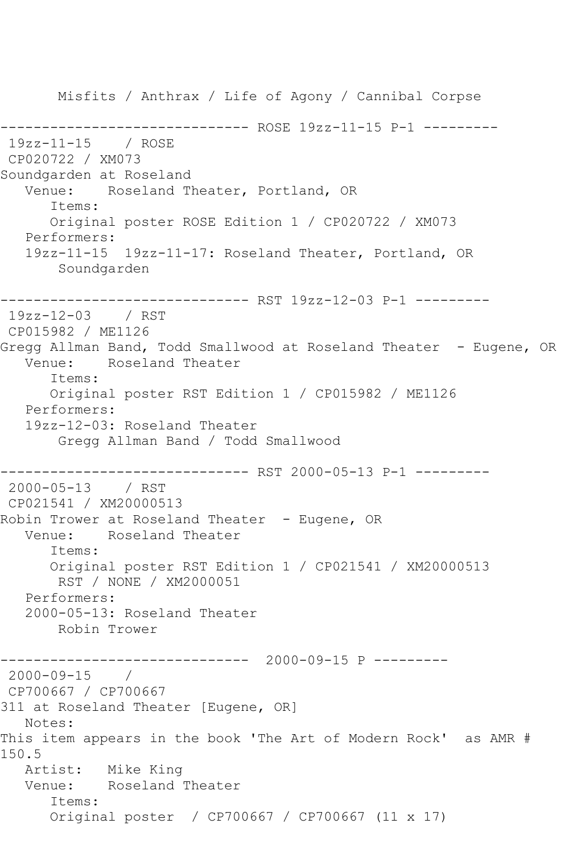Misfits / Anthrax / Life of Agony / Cannibal Corpse ------------------------------ ROSE 19zz-11-15 P-1 --------- 19zz-11-15 / ROSE CP020722 / XM073 Soundgarden at Roseland Venue: Roseland Theater, Portland, OR Items: Original poster ROSE Edition 1 / CP020722 / XM073 Performers: 19zz-11-15 19zz-11-17: Roseland Theater, Portland, OR Soundgarden ------------------------------ RST 19zz-12-03 P-1 --------- 19zz-12-03 / RST CP015982 / ME1126 Gregg Allman Band, Todd Smallwood at Roseland Theater - Eugene, OR Venue: Roseland Theater Items: Original poster RST Edition 1 / CP015982 / ME1126 Performers: 19zz-12-03: Roseland Theater Gregg Allman Band / Todd Smallwood ------------------------------ RST 2000-05-13 P-1 --------- 2000-05-13 / RST CP021541 / XM20000513 Robin Trower at Roseland Theater - Eugene, OR Venue: Roseland Theater Items: Original poster RST Edition 1 / CP021541 / XM20000513 RST / NONE / XM2000051 Performers: 2000-05-13: Roseland Theater Robin Trower ------------------------------ 2000-09-15 P --------- 2000-09-15 / CP700667 / CP700667 311 at Roseland Theater [Eugene, OR] Notes: This item appears in the book 'The Art of Modern Rock' as AMR # 150.5 Artist: Mike King Venue: Roseland Theater Items: Original poster / CP700667 / CP700667 (11 x 17)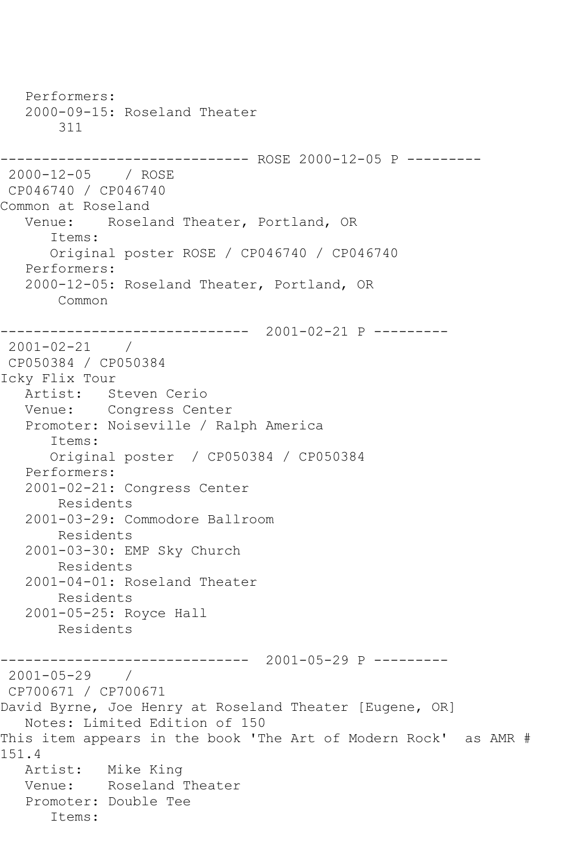Performers: 2000-09-15: Roseland Theater 311 ------------------------------ ROSE 2000-12-05 P --------- 2000-12-05 / ROSE CP046740 / CP046740 Common at Roseland Venue: Roseland Theater, Portland, OR Items: Original poster ROSE / CP046740 / CP046740 Performers: 2000-12-05: Roseland Theater, Portland, OR Common ------------------------------ 2001-02-21 P --------- 2001-02-21 / CP050384 / CP050384 Icky Flix Tour Artist: Steven Cerio Venue: Congress Center Promoter: Noiseville / Ralph America Items: Original poster / CP050384 / CP050384 Performers: 2001-02-21: Congress Center Residents 2001-03-29: Commodore Ballroom Residents 2001-03-30: EMP Sky Church Residents 2001-04-01: Roseland Theater Residents 2001-05-25: Royce Hall Residents ------------------------------ 2001-05-29 P --------- 2001-05-29 / CP700671 / CP700671 David Byrne, Joe Henry at Roseland Theater [Eugene, OR] Notes: Limited Edition of 150 This item appears in the book 'The Art of Modern Rock' as AMR # 151.4<br>: Artist Mike King Venue: Roseland Theater Promoter: Double Tee Items: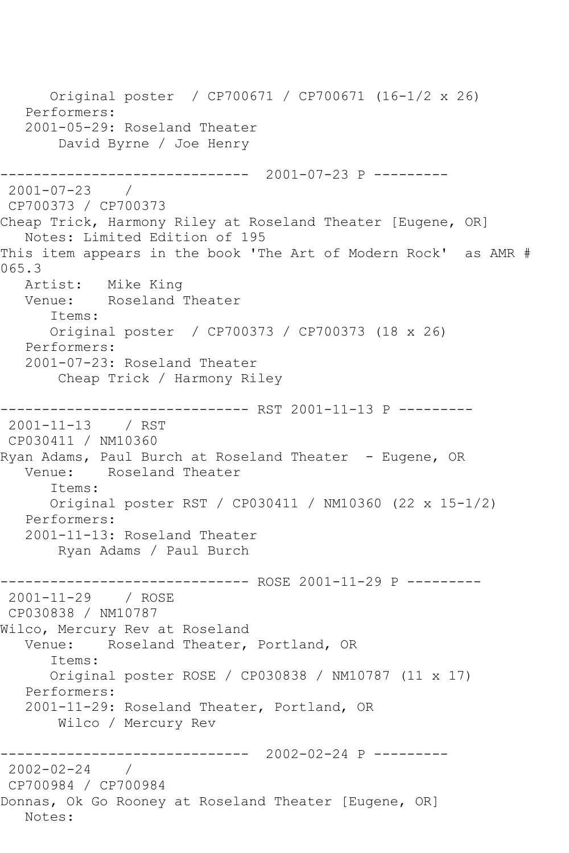Original poster / CP700671 / CP700671 (16-1/2 x 26) Performers: 2001-05-29: Roseland Theater David Byrne / Joe Henry ------------------------------ 2001-07-23 P --------- 2001-07-23 / CP700373 / CP700373 Cheap Trick, Harmony Riley at Roseland Theater [Eugene, OR] Notes: Limited Edition of 195 This item appears in the book 'The Art of Modern Rock' as AMR # 065.3 Artist: Mike King Venue: Roseland Theater Items: Original poster / CP700373 / CP700373 (18 x 26) Performers: 2001-07-23: Roseland Theater Cheap Trick / Harmony Riley ------------------------------ RST 2001-11-13 P --------- 2001-11-13 / RST CP030411 / NM10360 Ryan Adams, Paul Burch at Roseland Theater - Eugene, OR Venue: Roseland Theater Items: Original poster RST / CP030411 / NM10360 (22 x 15-1/2) Performers: 2001-11-13: Roseland Theater Ryan Adams / Paul Burch ------------- ROSE 2001-11-29 P ---------2001-11-29 / ROSE CP030838 / NM10787 Wilco, Mercury Rev at Roseland Venue: Roseland Theater, Portland, OR Items: Original poster ROSE / CP030838 / NM10787 (11 x 17) Performers: 2001-11-29: Roseland Theater, Portland, OR Wilco / Mercury Rev ------------------------------ 2002-02-24 P --------- 2002-02-24 / CP700984 / CP700984 Donnas, Ok Go Rooney at Roseland Theater [Eugene, OR] Notes: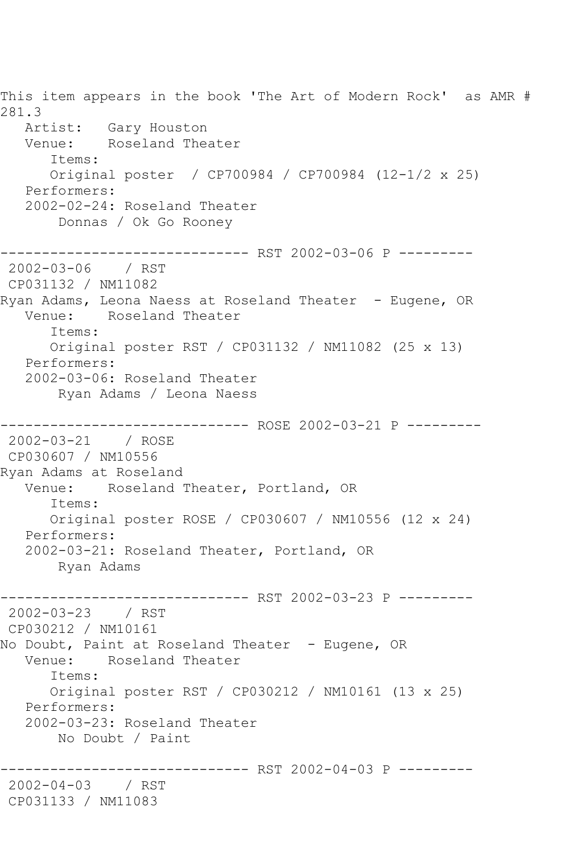This item appears in the book 'The Art of Modern Rock' as AMR # 281.3 Artist: Gary Houston Venue: Roseland Theater Items: Original poster / CP700984 / CP700984 (12-1/2 x 25) Performers: 2002-02-24: Roseland Theater Donnas / Ok Go Rooney ------------------------------ RST 2002-03-06 P --------- 2002-03-06 / RST CP031132 / NM11082 Ryan Adams, Leona Naess at Roseland Theater - Eugene, OR Venue: Roseland Theater Items: Original poster RST / CP031132 / NM11082 (25 x 13) Performers: 2002-03-06: Roseland Theater Ryan Adams / Leona Naess ----------- ROSE 2002-03-21 P ---------2002-03-21 / ROSE CP030607 / NM10556 Ryan Adams at Roseland Venue: Roseland Theater, Portland, OR Items: Original poster ROSE / CP030607 / NM10556 (12 x 24) Performers: 2002-03-21: Roseland Theater, Portland, OR Ryan Adams ------------------------------ RST 2002-03-23 P --------- 2002-03-23 / RST CP030212 / NM10161 No Doubt, Paint at Roseland Theater – Eugene, OR<br>Venue: Roseland Theater Roseland Theater Items: Original poster RST / CP030212 / NM10161 (13 x 25) Performers: 2002-03-23: Roseland Theater No Doubt / Paint ------------------------------ RST 2002-04-03 P --------- 2002-04-03 / RST CP031133 / NM11083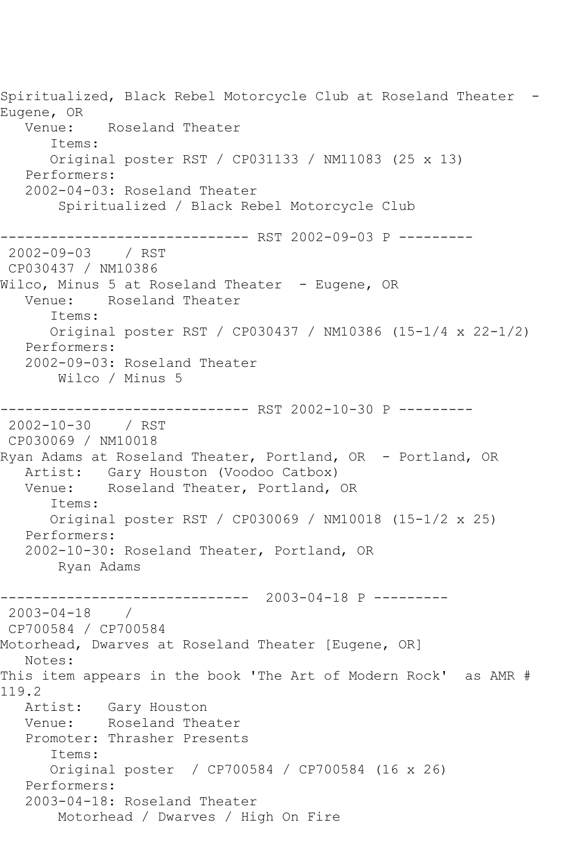Spiritualized, Black Rebel Motorcycle Club at Roseland Theater -Eugene, OR Venue: Roseland Theater Items: Original poster RST / CP031133 / NM11083 (25 x 13) Performers: 2002-04-03: Roseland Theater Spiritualized / Black Rebel Motorcycle Club ------------------------------ RST 2002-09-03 P --------- 2002-09-03 / RST CP030437 / NM10386 Wilco, Minus 5 at Roseland Theater - Eugene, OR Venue: Roseland Theater Items: Original poster RST / CP030437 / NM10386 (15-1/4 x 22-1/2) Performers: 2002-09-03: Roseland Theater Wilco / Minus 5 ------------------------------ RST 2002-10-30 P --------- 2002-10-30 / RST CP030069 / NM10018 Ryan Adams at Roseland Theater, Portland, OR - Portland, OR Artist: Gary Houston (Voodoo Catbox)<br>Venue: Roseland Theater, Portland, Roseland Theater, Portland, OR Items: Original poster RST / CP030069 / NM10018 (15-1/2 x 25) Performers: 2002-10-30: Roseland Theater, Portland, OR Ryan Adams ------------------------------ 2003-04-18 P ---------  $2003 - 04 - 18$ CP700584 / CP700584 Motorhead, Dwarves at Roseland Theater [Eugene, OR] Notes: This item appears in the book 'The Art of Modern Rock' as AMR # 119.2<br>Artist: Gary Houston Venue: Roseland Theater Promoter: Thrasher Presents Items: Original poster / CP700584 / CP700584 (16 x 26) Performers: 2003-04-18: Roseland Theater Motorhead / Dwarves / High On Fire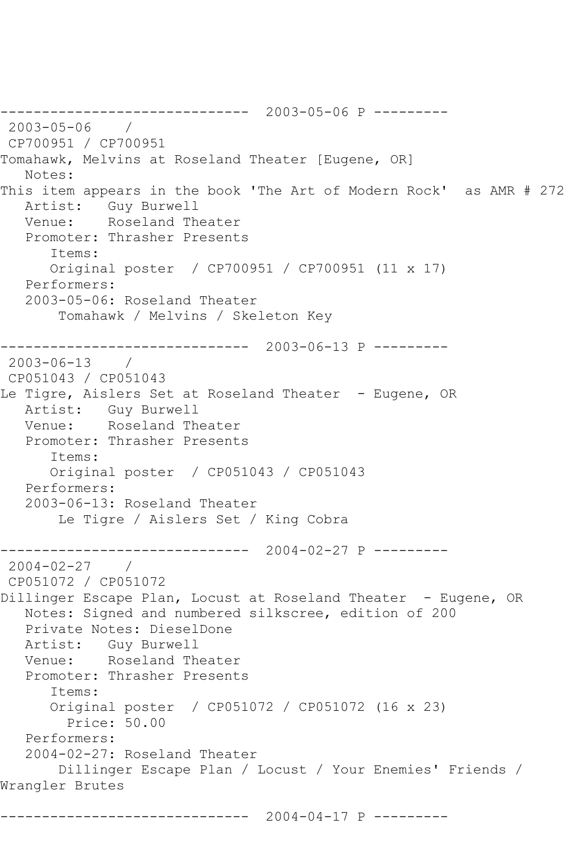------------------------------ 2003-05-06 P --------- 2003-05-06 / CP700951 / CP700951 Tomahawk, Melvins at Roseland Theater [Eugene, OR] Notes: This item appears in the book 'The Art of Modern Rock' as AMR # 272 Artist: Guy Burwell Venue: Roseland Theater Promoter: Thrasher Presents Items: Original poster / CP700951 / CP700951 (11 x 17) Performers: 2003-05-06: Roseland Theater Tomahawk / Melvins / Skeleton Key ------------------------------ 2003-06-13 P --------- 2003-06-13 / CP051043 / CP051043 Le Tigre, Aislers Set at Roseland Theater - Eugene, OR Artist: Guy Burwell Venue: Roseland Theater Promoter: Thrasher Presents Items: Original poster / CP051043 / CP051043 Performers: 2003-06-13: Roseland Theater Le Tigre / Aislers Set / King Cobra ------------------------------ 2004-02-27 P --------- 2004-02-27 / CP051072 / CP051072 Dillinger Escape Plan, Locust at Roseland Theater - Eugene, OR Notes: Signed and numbered silkscree, edition of 200 Private Notes: DieselDone Artist: Guy Burwell Venue: Roseland Theater Promoter: Thrasher Presents Items: Original poster / CP051072 / CP051072 (16 x 23) Price: 50.00 Performers: 2004-02-27: Roseland Theater Dillinger Escape Plan / Locust / Your Enemies' Friends / Wrangler Brutes ------------------------------ 2004-04-17 P ---------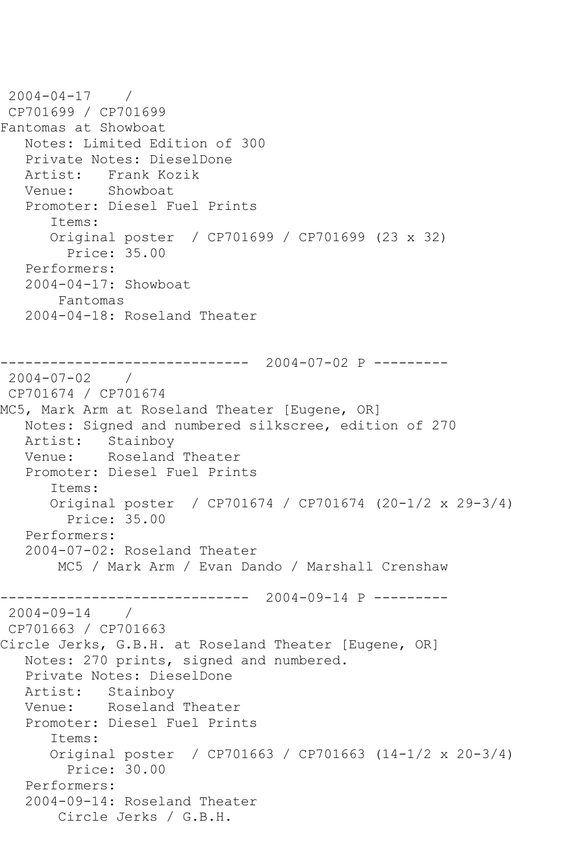2004-04-17 / CP701699 / CP701699 Fantomas at Showboat Notes: Limited Edition of 300 Private Notes: DieselDone Artist: Frank Kozik Venue: Showboat Promoter: Diesel Fuel Prints Items: Original poster / CP701699 / CP701699 (23 x 32) Price: 35.00 Performers: 2004-04-17: Showboat Fantomas 2004-04-18: Roseland Theater ------------------------------ 2004-07-02 P --------- 2004-07-02 / CP701674 / CP701674 MC5, Mark Arm at Roseland Theater [Eugene, OR] Notes: Signed and numbered silkscree, edition of 270 Artist: Stainboy Venue: Roseland Theater Promoter: Diesel Fuel Prints Items: Original poster / CP701674 / CP701674 (20-1/2 x 29-3/4) Price: 35.00 Performers: 2004-07-02: Roseland Theater MC5 / Mark Arm / Evan Dando / Marshall Crenshaw ------------------------------ 2004-09-14 P ---------  $2004 - 09 - 14$ CP701663 / CP701663 Circle Jerks, G.B.H. at Roseland Theater [Eugene, OR] Notes: 270 prints, signed and numbered. Private Notes: DieselDone Artist: Stainboy Venue: Roseland Theater Promoter: Diesel Fuel Prints Items: Original poster / CP701663 / CP701663 (14-1/2 x 20-3/4) Price: 30.00 Performers: 2004-09-14: Roseland Theater Circle Jerks / G.B.H.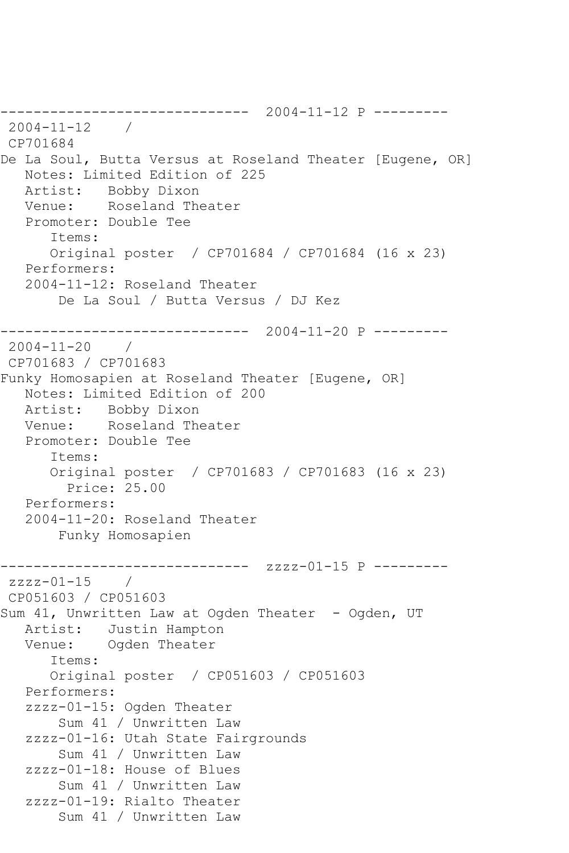------------------------------ 2004-11-12 P --------- 2004-11-12 / CP701684 De La Soul, Butta Versus at Roseland Theater [Eugene, OR] Notes: Limited Edition of 225 Artist: Bobby Dixon Venue: Roseland Theater Promoter: Double Tee Items: Original poster / CP701684 / CP701684 (16 x 23) Performers: 2004-11-12: Roseland Theater De La Soul / Butta Versus / DJ Kez ------------------------------ 2004-11-20 P --------- 2004-11-20 / CP701683 / CP701683 Funky Homosapien at Roseland Theater [Eugene, OR] Notes: Limited Edition of 200 Artist: Bobby Dixon Venue: Roseland Theater Promoter: Double Tee Items: Original poster / CP701683 / CP701683 (16 x 23) Price: 25.00 Performers: 2004-11-20: Roseland Theater Funky Homosapien ------------------------------ zzzz-01-15 P --------  $zzzz-01-15$  / CP051603 / CP051603 Sum 41, Unwritten Law at Ogden Theater - Ogden, UT Artist: Justin Hampton Venue: Ogden Theater Items: Original poster / CP051603 / CP051603 Performers: zzzz-01-15: Ogden Theater Sum 41 / Unwritten Law zzzz-01-16: Utah State Fairgrounds Sum 41 / Unwritten Law zzzz-01-18: House of Blues Sum 41 / Unwritten Law zzzz-01-19: Rialto Theater Sum 41 / Unwritten Law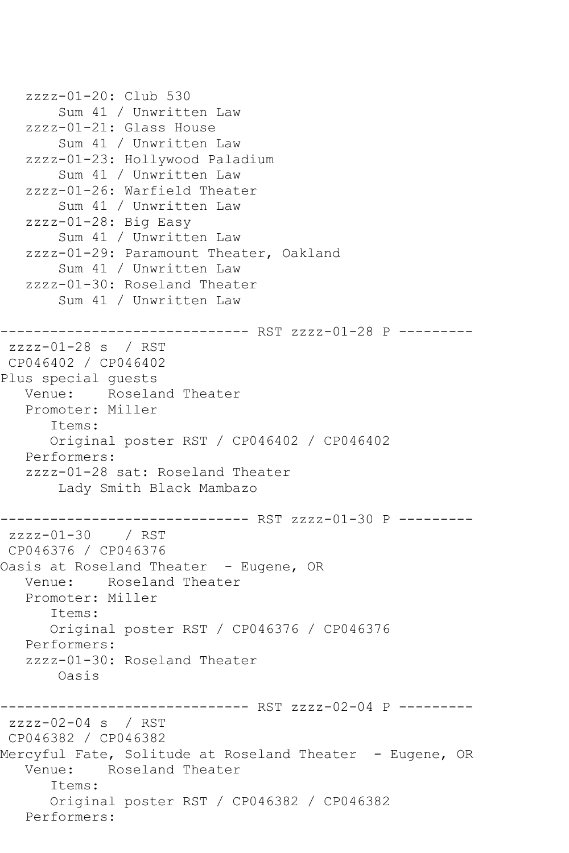```
 zzzz-01-20: Club 530
        Sum 41 / Unwritten Law
    zzzz-01-21: Glass House
        Sum 41 / Unwritten Law
    zzzz-01-23: Hollywood Paladium
        Sum 41 / Unwritten Law
    zzzz-01-26: Warfield Theater
        Sum 41 / Unwritten Law
    zzzz-01-28: Big Easy
        Sum 41 / Unwritten Law
    zzzz-01-29: Paramount Theater, Oakland
        Sum 41 / Unwritten Law
    zzzz-01-30: Roseland Theater
        Sum 41 / Unwritten Law
------------------------------ RST zzzz-01-28 P ---------
zzzz-01-28 s / RST 
CP046402 / CP046402
Plus special guests
   Venue: Roseland Theater
    Promoter: Miller
       Items:
       Original poster RST / CP046402 / CP046402
   Performers:
    zzzz-01-28 sat: Roseland Theater
        Lady Smith Black Mambazo
              ---------------- RST zzzz-01-30 P ----------<br>/ RST
zzzz-01-30CP046376 / CP046376
Oasis at Roseland Theater - Eugene, OR
   Venue: Roseland Theater
    Promoter: Miller
       Items:
       Original poster RST / CP046376 / CP046376
   Performers:
    zzzz-01-30: Roseland Theater
        Oasis
------------------------------ RST zzzz-02-04 P ---------
zzzz-02-04 s / RST 
CP046382 / CP046382
Mercyful Fate, Solitude at Roseland Theater - Eugene, OR
   Venue: Roseland Theater
       Items:
       Original poster RST / CP046382 / CP046382
   Performers:
```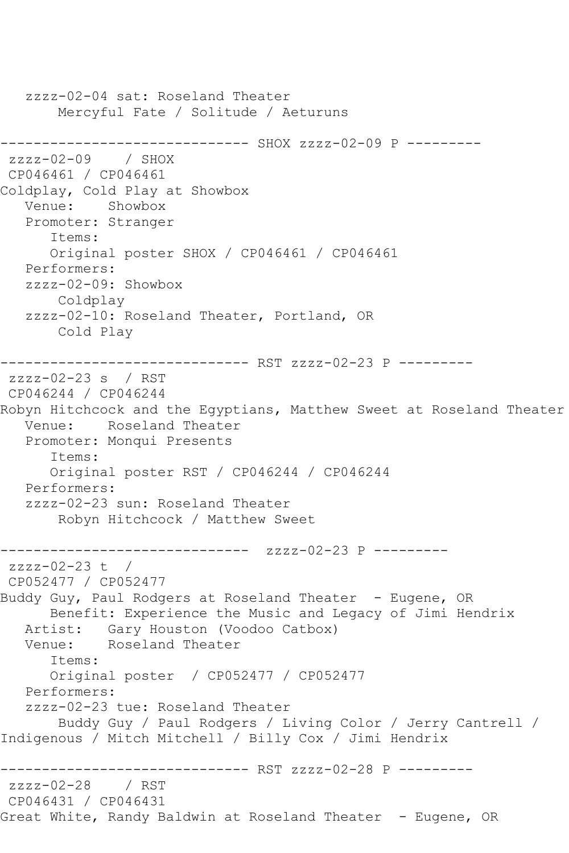zzzz-02-04 sat: Roseland Theater Mercyful Fate / Solitude / Aeturuns ------------------------------ SHOX zzzz-02-09 P --------  $zzzz-02-09$  / SHOX CP046461 / CP046461 Coldplay, Cold Play at Showbox Venue: Showbox Promoter: Stranger Items: Original poster SHOX / CP046461 / CP046461 Performers: zzzz-02-09: Showbox Coldplay zzzz-02-10: Roseland Theater, Portland, OR Cold Play ------------------------------ RST zzzz-02-23 P -------- zzzz-02-23 s / RST CP046244 / CP046244 Robyn Hitchcock and the Egyptians, Matthew Sweet at Roseland Theater Venue: Roseland Theater Promoter: Monqui Presents Items: Original poster RST / CP046244 / CP046244 Performers: zzzz-02-23 sun: Roseland Theater Robyn Hitchcock / Matthew Sweet ------------------------------ zzzz-02-23 P --------  $zzzz-02-23$  t / CP052477 / CP052477 Buddy Guy, Paul Rodgers at Roseland Theater - Eugene, OR Benefit: Experience the Music and Legacy of Jimi Hendrix Artist: Gary Houston (Voodoo Catbox) Venue: Roseland Theater Items: Original poster / CP052477 / CP052477 Performers: zzzz-02-23 tue: Roseland Theater Buddy Guy / Paul Rodgers / Living Color / Jerry Cantrell / Indigenous / Mitch Mitchell / Billy Cox / Jimi Hendrix -------------------- RST zzzz-02-28 P ----------<br>8 / RST zzzz-02-28 CP046431 / CP046431 Great White, Randy Baldwin at Roseland Theater - Eugene, OR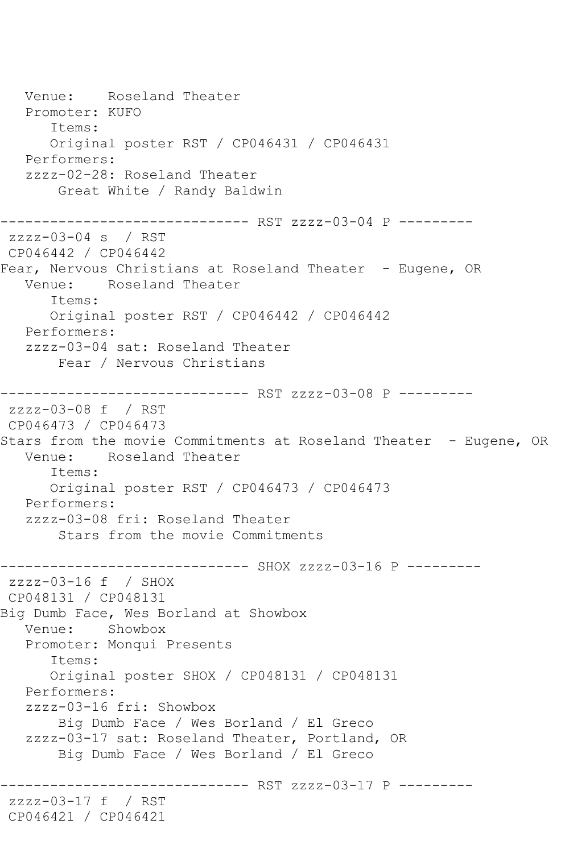Venue: Roseland Theater Promoter: KUFO Items: Original poster RST / CP046431 / CP046431 Performers: zzzz-02-28: Roseland Theater Great White / Randy Baldwin ------------- RST zzzz-03-04 P --------zzzz-03-04 s / RST CP046442 / CP046442 Fear, Nervous Christians at Roseland Theater - Eugene, OR Venue: Roseland Theater Items: Original poster RST / CP046442 / CP046442 Performers: zzzz-03-04 sat: Roseland Theater Fear / Nervous Christians ------------------------------ RST zzzz-03-08 P -------- zzzz-03-08 f / RST CP046473 / CP046473 Stars from the movie Commitments at Roseland Theater - Eugene, OR<br>Venue: Roseland Theater Roseland Theater Items: Original poster RST / CP046473 / CP046473 Performers: zzzz-03-08 fri: Roseland Theater Stars from the movie Commitments ------------------------------ SHOX zzzz-03-16 P -------- zzzz-03-16 f / SHOX CP048131 / CP048131 Big Dumb Face, Wes Borland at Showbox Venue: Showbox Promoter: Monqui Presents Items: Original poster SHOX / CP048131 / CP048131 Performers: zzzz-03-16 fri: Showbox Big Dumb Face / Wes Borland / El Greco zzzz-03-17 sat: Roseland Theater, Portland, OR Big Dumb Face / Wes Borland / El Greco ------------ RST zzzz-03-17 P --------zzzz-03-17 f / RST CP046421 / CP046421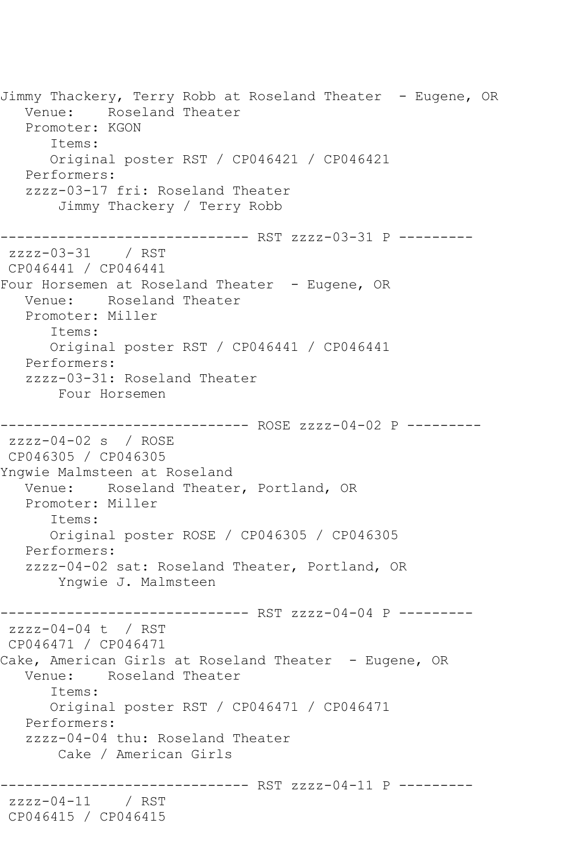Jimmy Thackery, Terry Robb at Roseland Theater - Eugene, OR Venue: Roseland Theater Promoter: KGON Items: Original poster RST / CP046421 / CP046421 Performers: zzzz-03-17 fri: Roseland Theater Jimmy Thackery / Terry Robb ------------------------------ RST zzzz-03-31 P -------- zzzz-03-31 / RST CP046441 / CP046441 Four Horsemen at Roseland Theater - Eugene, OR Venue: Roseland Theater Promoter: Miller Items: Original poster RST / CP046441 / CP046441 Performers: zzzz-03-31: Roseland Theater Four Horsemen ------------------------------ ROSE zzzz-04-02 P -------- zzzz-04-02 s / ROSE CP046305 / CP046305 Yngwie Malmsteen at Roseland Venue: Roseland Theater, Portland, OR Promoter: Miller Items: Original poster ROSE / CP046305 / CP046305 Performers: zzzz-04-02 sat: Roseland Theater, Portland, OR Yngwie J. Malmsteen ------------------------------ RST zzzz-04-04 P -------- zzzz-04-04 t / RST CP046471 / CP046471 Cake, American Girls at Roseland Theater - Eugene, OR Venue: Roseland Theater Items: Original poster RST / CP046471 / CP046471 Performers: zzzz-04-04 thu: Roseland Theater Cake / American Girls -------------- RST zzzz-04-11 P ---------zzzz-04-11 / RST CP046415 / CP046415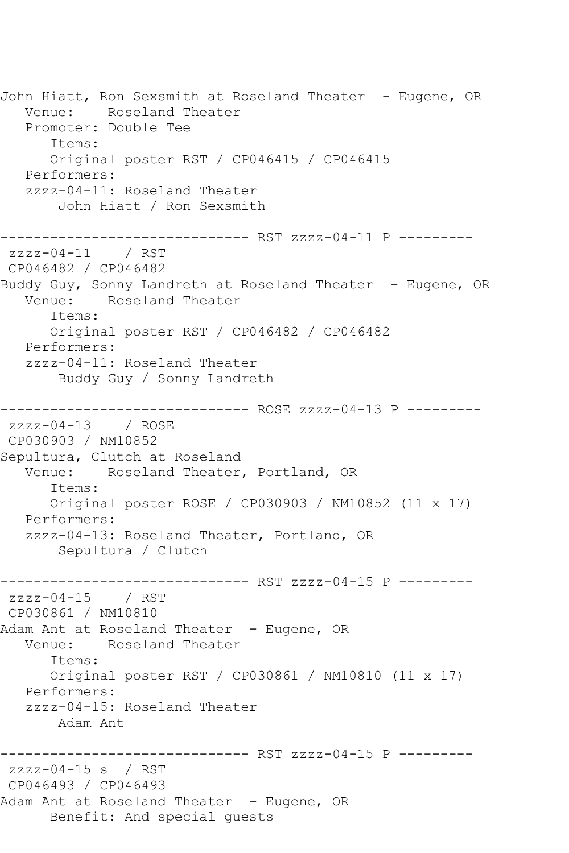John Hiatt, Ron Sexsmith at Roseland Theater - Eugene, OR Venue: Roseland Theater Promoter: Double Tee Items: Original poster RST / CP046415 / CP046415 Performers: zzzz-04-11: Roseland Theater John Hiatt / Ron Sexsmith ------------------------------ RST zzzz-04-11 P -------- zzzz-04-11 / RST CP046482 / CP046482 Buddy Guy, Sonny Landreth at Roseland Theater - Eugene, OR Venue: Roseland Theater Items: Original poster RST / CP046482 / CP046482 Performers: zzzz-04-11: Roseland Theater Buddy Guy / Sonny Landreth ------------------------------ ROSE zzzz-04-13 P -------- zzzz-04-13 / ROSE CP030903 / NM10852 Sepultura, Clutch at Roseland Venue: Roseland Theater, Portland, OR Items: Original poster ROSE / CP030903 / NM10852 (11 x 17) Performers: zzzz-04-13: Roseland Theater, Portland, OR Sepultura / Clutch ------------------------------ RST zzzz-04-15 P -------- zzzz-04-15 / RST CP030861 / NM10810 Adam Ant at Roseland Theater - Eugene, OR Venue: Roseland Theater Items: Original poster RST / CP030861 / NM10810 (11 x 17) Performers: zzzz-04-15: Roseland Theater Adam Ant ------------------------------ RST zzzz-04-15 P -------- zzzz-04-15 s / RST CP046493 / CP046493 Adam Ant at Roseland Theater - Eugene, OR Benefit: And special guests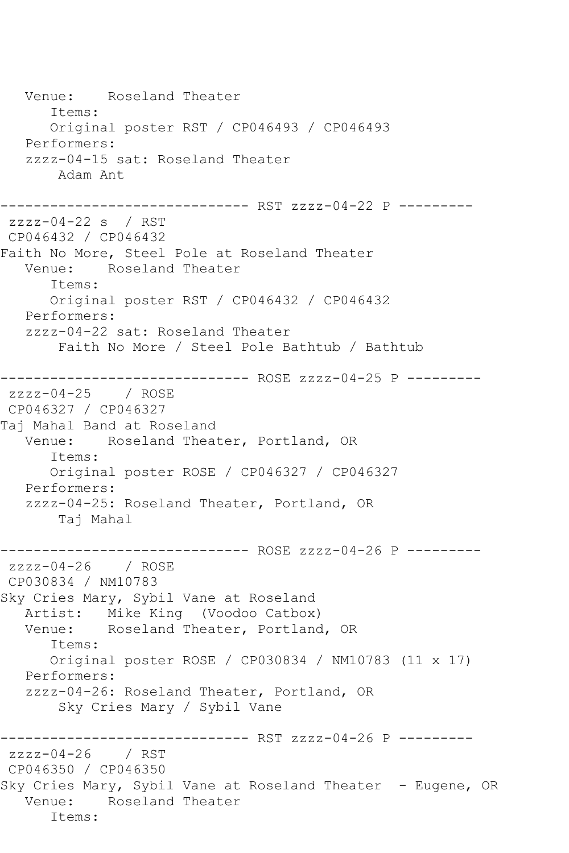Venue: Roseland Theater Items: Original poster RST / CP046493 / CP046493 Performers: zzzz-04-15 sat: Roseland Theater Adam Ant ------------------------------ RST zzzz-04-22 P -------- zzzz-04-22 s / RST CP046432 / CP046432 Faith No More, Steel Pole at Roseland Theater Venue: Roseland Theater Items: Original poster RST / CP046432 / CP046432 Performers: zzzz-04-22 sat: Roseland Theater Faith No More / Steel Pole Bathtub / Bathtub ------------------------------ ROSE zzzz-04-25 P -------- zzzz-04-25 / ROSE CP046327 / CP046327 Taj Mahal Band at Roseland Venue: Roseland Theater, Portland, OR Items: Original poster ROSE / CP046327 / CP046327 Performers: zzzz-04-25: Roseland Theater, Portland, OR Taj Mahal ------------------------------ ROSE zzzz-04-26 P -------- zzzz-04-26 / ROSE CP030834 / NM10783 Sky Cries Mary, Sybil Vane at Roseland Artist: Mike King (Voodoo Catbox) Venue: Roseland Theater, Portland, OR Items: Original poster ROSE / CP030834 / NM10783 (11 x 17) Performers: zzzz-04-26: Roseland Theater, Portland, OR Sky Cries Mary / Sybil Vane ------------------------------ RST zzzz-04-26 P -------- zzzz-04-26 / RST CP046350 / CP046350 Sky Cries Mary, Sybil Vane at Roseland Theater - Eugene, OR Venue: Roseland Theater Items: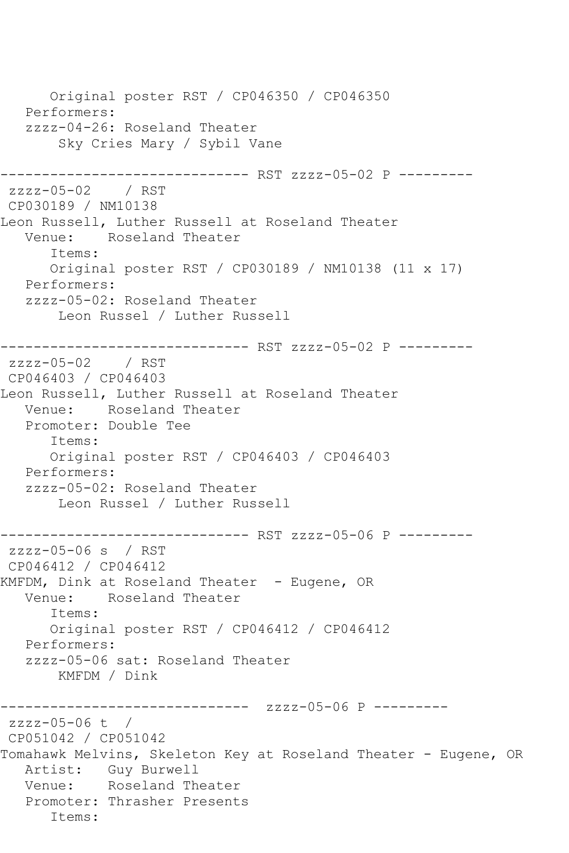Original poster RST / CP046350 / CP046350 Performers: zzzz-04-26: Roseland Theater Sky Cries Mary / Sybil Vane ------------------------------ RST zzzz-05-02 P -------- zzzz-05-02 / RST CP030189 / NM10138 Leon Russell, Luther Russell at Roseland Theater Venue: Roseland Theater Items: Original poster RST / CP030189 / NM10138 (11 x 17) Performers: zzzz-05-02: Roseland Theater Leon Russel / Luther Russell ------------------------------ RST zzzz-05-02 P -------- zzzz-05-02 / RST CP046403 / CP046403 Leon Russell, Luther Russell at Roseland Theater Venue: Roseland Theater Promoter: Double Tee Items: Original poster RST / CP046403 / CP046403 Performers: zzzz-05-02: Roseland Theater Leon Russel / Luther Russell ------------------------------ RST zzzz-05-06 P -------- zzzz-05-06 s / RST CP046412 / CP046412 KMFDM, Dink at Roseland Theater - Eugene, OR Venue: Roseland Theater Items: Original poster RST / CP046412 / CP046412 Performers: zzzz-05-06 sat: Roseland Theater KMFDM / Dink ------------------------------ zzzz-05-06 P -------- zzzz-05-06 t / CP051042 / CP051042 Tomahawk Melvins, Skeleton Key at Roseland Theater - Eugene, OR Artist: Guy Burwell Venue: Roseland Theater Promoter: Thrasher Presents Items: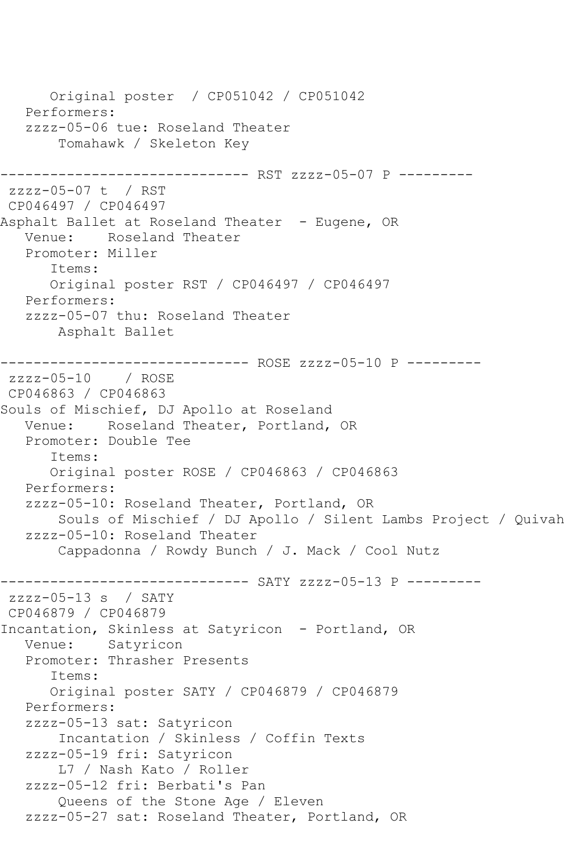Original poster / CP051042 / CP051042 Performers: zzzz-05-06 tue: Roseland Theater Tomahawk / Skeleton Key ------------------------------ RST zzzz-05-07 P -------- zzzz-05-07 t / RST CP046497 / CP046497 Asphalt Ballet at Roseland Theater - Eugene, OR Venue: Roseland Theater Promoter: Miller Items: Original poster RST / CP046497 / CP046497 Performers: zzzz-05-07 thu: Roseland Theater Asphalt Ballet ------------------------------ ROSE zzzz-05-10 P -------- zzzz-05-10 / ROSE CP046863 / CP046863 Souls of Mischief, DJ Apollo at Roseland Venue: Roseland Theater, Portland, OR Promoter: Double Tee Items: Original poster ROSE / CP046863 / CP046863 Performers: zzzz-05-10: Roseland Theater, Portland, OR Souls of Mischief / DJ Apollo / Silent Lambs Project / Quivah zzzz-05-10: Roseland Theater Cappadonna / Rowdy Bunch / J. Mack / Cool Nutz ------------------------------ SATY zzzz-05-13 P -------- zzzz-05-13 s / SATY CP046879 / CP046879 Incantation, Skinless at Satyricon - Portland, OR Venue: Satyricon Promoter: Thrasher Presents Items: Original poster SATY / CP046879 / CP046879 Performers: zzzz-05-13 sat: Satyricon Incantation / Skinless / Coffin Texts zzzz-05-19 fri: Satyricon L7 / Nash Kato / Roller zzzz-05-12 fri: Berbati's Pan Queens of the Stone Age / Eleven zzzz-05-27 sat: Roseland Theater, Portland, OR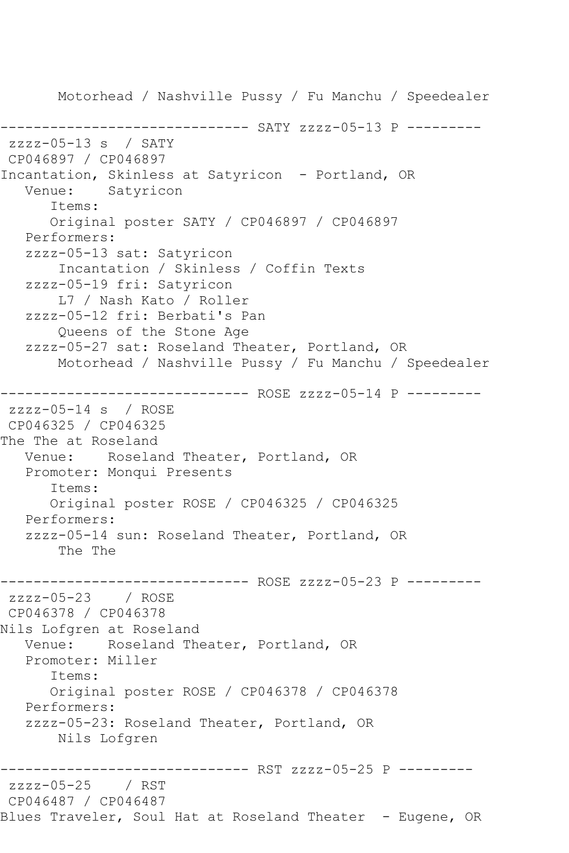Motorhead / Nashville Pussy / Fu Manchu / Speedealer ------------------------------ SATY zzzz-05-13 P -------- zzzz-05-13 s / SATY CP046897 / CP046897 Incantation, Skinless at Satyricon - Portland, OR Venue: Satyricon Items: Original poster SATY / CP046897 / CP046897 Performers: zzzz-05-13 sat: Satyricon Incantation / Skinless / Coffin Texts zzzz-05-19 fri: Satyricon L7 / Nash Kato / Roller zzzz-05-12 fri: Berbati's Pan Queens of the Stone Age zzzz-05-27 sat: Roseland Theater, Portland, OR Motorhead / Nashville Pussy / Fu Manchu / Speedealer ------------------------------ ROSE zzzz-05-14 P -------- zzzz-05-14 s / ROSE CP046325 / CP046325 The The at Roseland Venue: Roseland Theater, Portland, OR Promoter: Monqui Presents Items: Original poster ROSE / CP046325 / CP046325 Performers: zzzz-05-14 sun: Roseland Theater, Portland, OR The The ------------------------------ ROSE zzzz-05-23 P -------- zzzz-05-23 / ROSE CP046378 / CP046378 Nils Lofgren at Roseland Venue: Roseland Theater, Portland, OR Promoter: Miller Items: Original poster ROSE / CP046378 / CP046378 Performers: zzzz-05-23: Roseland Theater, Portland, OR Nils Lofgren ------------------------------ RST zzzz-05-25 P -------- zzzz-05-25 / RST CP046487 / CP046487 Blues Traveler, Soul Hat at Roseland Theater - Eugene, OR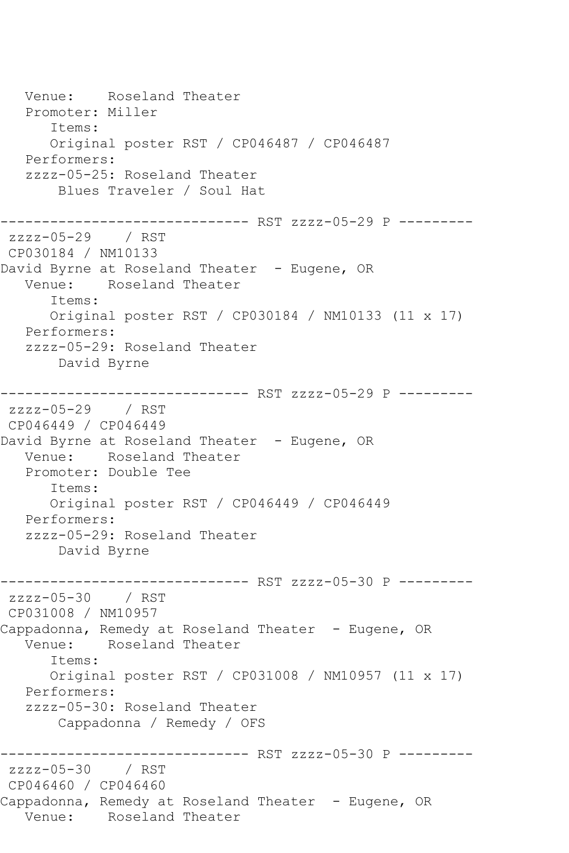Venue: Roseland Theater Promoter: Miller Items: Original poster RST / CP046487 / CP046487 Performers: zzzz-05-25: Roseland Theater Blues Traveler / Soul Hat ------------------------------ RST zzzz-05-29 P -------- zzzz-05-29 / RST CP030184 / NM10133 David Byrne at Roseland Theater - Eugene, OR Venue: Roseland Theater Items: Original poster RST / CP030184 / NM10133 (11 x 17) Performers: zzzz-05-29: Roseland Theater David Byrne ------------------------------ RST zzzz-05-29 P -------- zzzz-05-29 / RST CP046449 / CP046449 David Byrne at Roseland Theater - Eugene, OR Venue: Roseland Theater Promoter: Double Tee Items: Original poster RST / CP046449 / CP046449 Performers: zzzz-05-29: Roseland Theater David Byrne ------------------------------ RST zzzz-05-30 P -------- zzzz-05-30 / RST CP031008 / NM10957 Cappadonna, Remedy at Roseland Theater - Eugene, OR Venue: Roseland Theater Items: Original poster RST / CP031008 / NM10957 (11 x 17) Performers: zzzz-05-30: Roseland Theater Cappadonna / Remedy / OFS ------------------------------ RST zzzz-05-30 P -------- zzzz-05-30 / RST CP046460 / CP046460 Cappadonna, Remedy at Roseland Theater - Eugene, OR Venue: Roseland Theater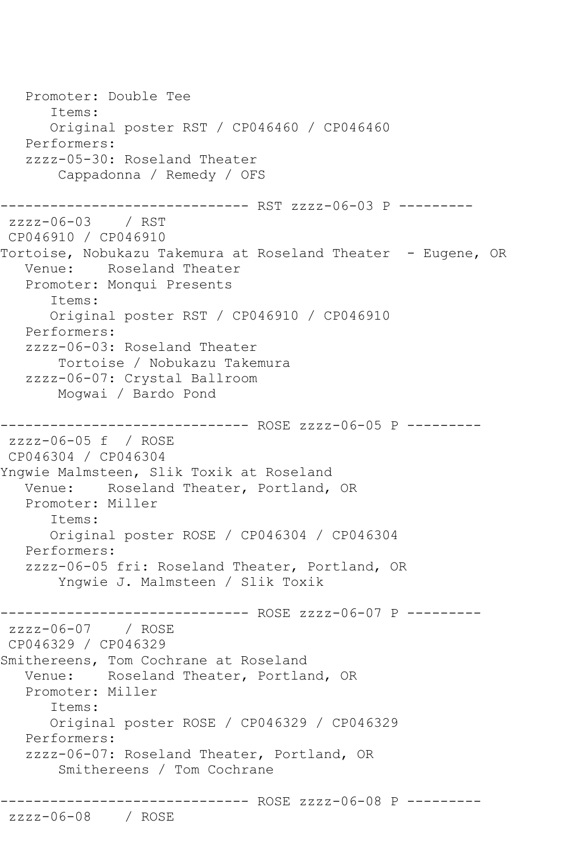```
 Promoter: Double Tee
       Items:
       Original poster RST / CP046460 / CP046460
   Performers:
   zzzz-05-30: Roseland Theater
       Cappadonna / Remedy / OFS
------------------------------ RST zzzz-06-03 P ---------
zzzz-06-03 / RST 
CP046910 / CP046910
Tortoise, Nobukazu Takemura at Roseland Theater - Eugene, OR
   Venue: Roseland Theater
   Promoter: Monqui Presents
       Items:
      Original poster RST / CP046910 / CP046910
   Performers:
   zzzz-06-03: Roseland Theater
       Tortoise / Nobukazu Takemura
   zzzz-06-07: Crystal Ballroom
       Mogwai / Bardo Pond
           ------------------- ROSE zzzz-06-05 P ---------
zzzz-06-05 f / ROSE 
CP046304 / CP046304
Yngwie Malmsteen, Slik Toxik at Roseland
   Venue: Roseland Theater, Portland, OR
   Promoter: Miller
       Items:
      Original poster ROSE / CP046304 / CP046304
   Performers:
   zzzz-06-05 fri: Roseland Theater, Portland, OR
       Yngwie J. Malmsteen / Slik Toxik
------------------------------ ROSE zzzz-06-07 P ---------
zzzz-06-07 / ROSE 
CP046329 / CP046329
Smithereens, Tom Cochrane at Roseland
   Venue: Roseland Theater, Portland, OR
   Promoter: Miller
       Items:
      Original poster ROSE / CP046329 / CP046329
   Performers:
   zzzz-06-07: Roseland Theater, Portland, OR
        Smithereens / Tom Cochrane
------------------------------ ROSE zzzz-06-08 P ---------
zzzz-06-08 / ROSE
```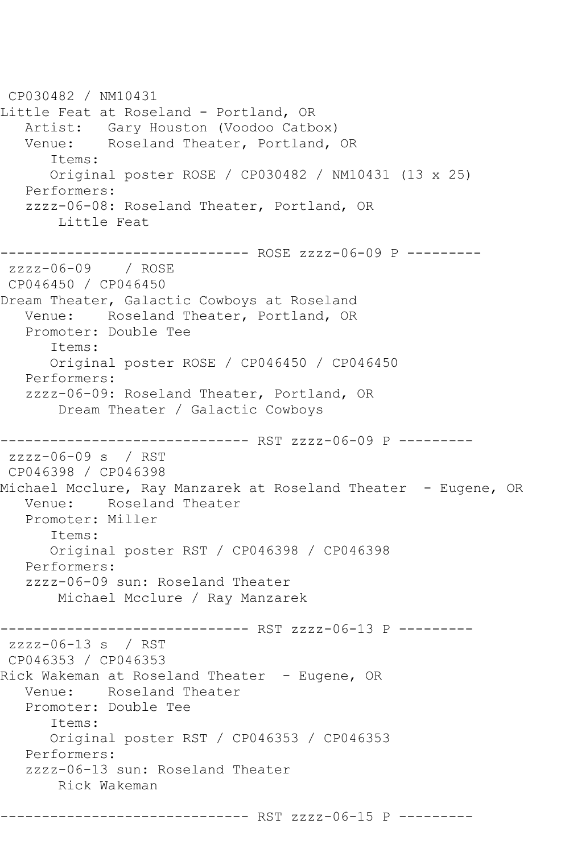CP030482 / NM10431 Little Feat at Roseland - Portland, OR Artist: Gary Houston (Voodoo Catbox) Venue: Roseland Theater, Portland, OR Items: Original poster ROSE / CP030482 / NM10431 (13 x 25) Performers: zzzz-06-08: Roseland Theater, Portland, OR Little Feat ------------------------------ ROSE zzzz-06-09 P -------- zzzz-06-09 / ROSE CP046450 / CP046450 Dream Theater, Galactic Cowboys at Roseland Venue: Roseland Theater, Portland, OR Promoter: Double Tee Items: Original poster ROSE / CP046450 / CP046450 Performers: zzzz-06-09: Roseland Theater, Portland, OR Dream Theater / Galactic Cowboys ------------------------------ RST zzzz-06-09 P -------- zzzz-06-09 s / RST CP046398 / CP046398 Michael Mcclure, Ray Manzarek at Roseland Theater - Eugene, OR Venue: Roseland Theater Promoter: Miller Items: Original poster RST / CP046398 / CP046398 Performers: zzzz-06-09 sun: Roseland Theater Michael Mcclure / Ray Manzarek ------------------------------ RST zzzz-06-13 P -------- zzzz-06-13 s / RST CP046353 / CP046353 Rick Wakeman at Roseland Theater - Eugene, OR Venue: Roseland Theater Promoter: Double Tee Items: Original poster RST / CP046353 / CP046353 Performers: zzzz-06-13 sun: Roseland Theater Rick Wakeman ------------------------------ RST zzzz-06-15 P ---------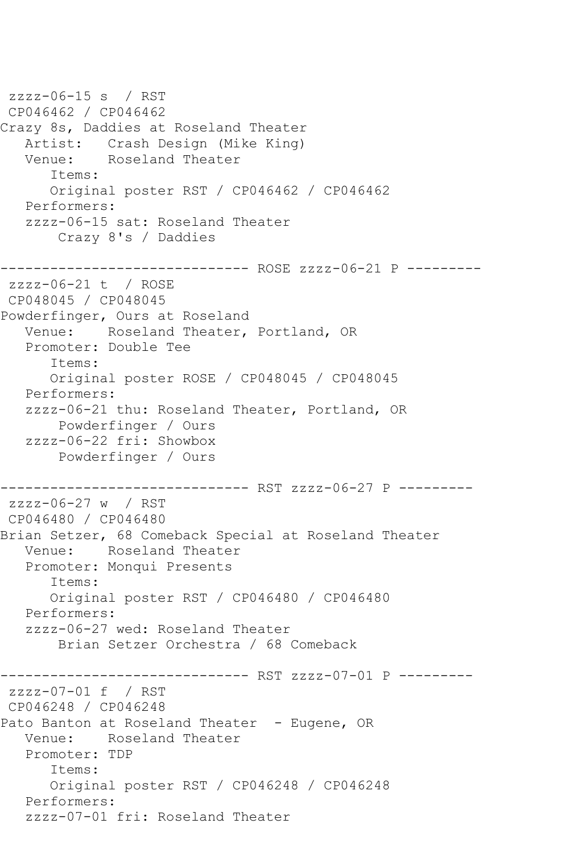```
zzzz-06-15 s / RST 
CP046462 / CP046462
Crazy 8s, Daddies at Roseland Theater
  Artist: Crash Design (Mike King)<br>Venue: Roseland Theater
            Roseland Theater
       Items:
       Original poster RST / CP046462 / CP046462
   Performers:
    zzzz-06-15 sat: Roseland Theater
        Crazy 8's / Daddies
                   ------------ ROSE zzzz-06-21 P ---------
zzzz-06-21 t / ROSE 
CP048045 / CP048045
Powderfinger, Ours at Roseland
   Venue: Roseland Theater, Portland, OR
   Promoter: Double Tee
       Items:
       Original poster ROSE / CP048045 / CP048045
   Performers:
    zzzz-06-21 thu: Roseland Theater, Portland, OR
        Powderfinger / Ours
    zzzz-06-22 fri: Showbox
        Powderfinger / Ours
------------------------------ RST zzzz-06-27 P ---------
zzzz-06-27 w / RST 
CP046480 / CP046480
Brian Setzer, 68 Comeback Special at Roseland Theater
   Venue: Roseland Theater
   Promoter: Monqui Presents
       Items:
       Original poster RST / CP046480 / CP046480
   Performers:
    zzzz-06-27 wed: Roseland Theater
        Brian Setzer Orchestra / 68 Comeback
------------------------------ RST zzzz-07-01 P ---------
zzzz-07-01 f / RST 
CP046248 / CP046248
Pato Banton at Roseland Theater - Eugene, OR
   Venue: Roseland Theater
   Promoter: TDP
       Items:
       Original poster RST / CP046248 / CP046248
   Performers:
    zzzz-07-01 fri: Roseland Theater
```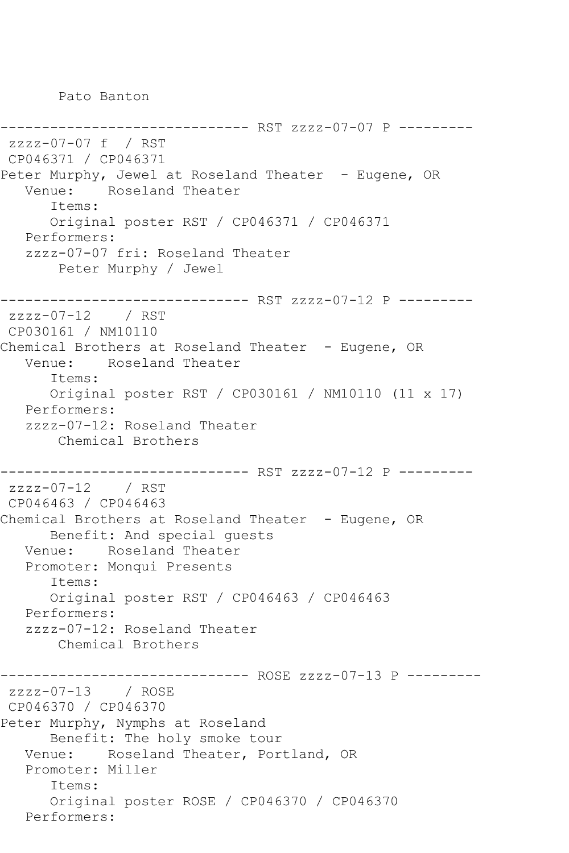Pato Banton

```
--------------- RST zzzz-07-07 P ---------
zzzz-07-07 f / RST 
CP046371 / CP046371
Peter Murphy, Jewel at Roseland Theater - Eugene, OR
   Venue: Roseland Theater
       Items:
      Original poster RST / CP046371 / CP046371
   Performers:
   zzzz-07-07 fri: Roseland Theater
       Peter Murphy / Jewel
------------------------------ RST zzzz-07-12 P ---------
zzzz-07-12 / RST 
CP030161 / NM10110
Chemical Brothers at Roseland Theater - Eugene, OR
   Venue: Roseland Theater
       Items:
      Original poster RST / CP030161 / NM10110 (11 x 17)
   Performers:
   zzzz-07-12: Roseland Theater
       Chemical Brothers
------------------------------ RST zzzz-07-12 P ---------
zzzz-07-12 / RST 
CP046463 / CP046463
Chemical Brothers at Roseland Theater - Eugene, OR
      Benefit: And special guests
   Venue: Roseland Theater
   Promoter: Monqui Presents
       Items:
      Original poster RST / CP046463 / CP046463
   Performers:
   zzzz-07-12: Roseland Theater
       Chemical Brothers
      ------------------------------ ROSE zzzz-07-13 P ---------
zzzz-07-13 / ROSE 
CP046370 / CP046370
Peter Murphy, Nymphs at Roseland
      Benefit: The holy smoke tour
   Venue: Roseland Theater, Portland, OR
   Promoter: Miller
       Items:
       Original poster ROSE / CP046370 / CP046370
   Performers:
```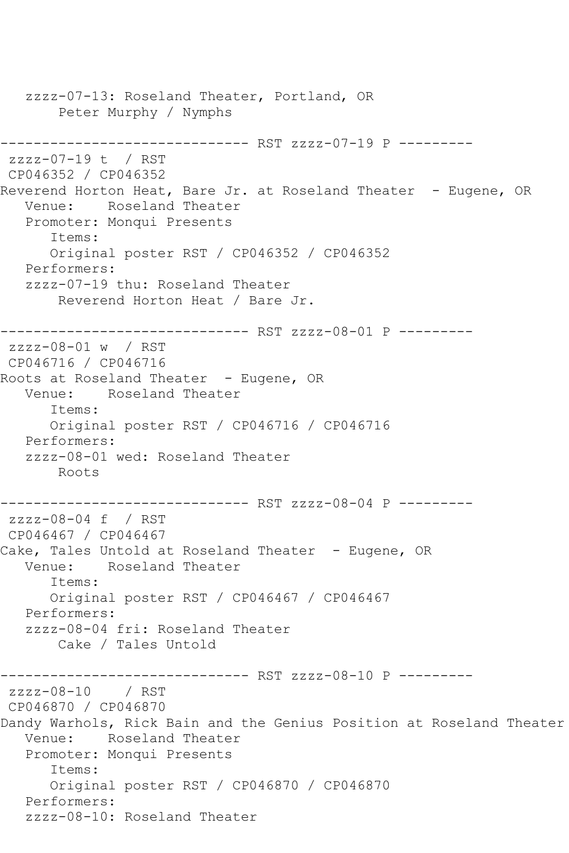zzzz-07-13: Roseland Theater, Portland, OR Peter Murphy / Nymphs ------------------------------ RST zzzz-07-19 P --------  $zzzz-07-19$  t / RST CP046352 / CP046352 Reverend Horton Heat, Bare Jr. at Roseland Theater - Eugene, OR Venue: Roseland Theater Promoter: Monqui Presents Items: Original poster RST / CP046352 / CP046352 Performers: zzzz-07-19 thu: Roseland Theater Reverend Horton Heat / Bare Jr. ------------------------------ RST zzzz-08-01 P -------- zzzz-08-01 w / RST CP046716 / CP046716 Roots at Roseland Theater - Eugene, OR Venue: Roseland Theater Items: Original poster RST / CP046716 / CP046716 Performers: zzzz-08-01 wed: Roseland Theater Roots ------------------------------ RST zzzz-08-04 P -------- zzzz-08-04 f / RST CP046467 / CP046467 Cake, Tales Untold at Roseland Theater - Eugene, OR Venue: Roseland Theater Items: Original poster RST / CP046467 / CP046467 Performers: zzzz-08-04 fri: Roseland Theater Cake / Tales Untold ------------------------------ RST zzzz-08-10 P -------- zzzz-08-10 / RST CP046870 / CP046870 Dandy Warhols, Rick Bain and the Genius Position at Roseland Theater Venue: Roseland Theater Promoter: Monqui Presents Items: Original poster RST / CP046870 / CP046870 Performers: zzzz-08-10: Roseland Theater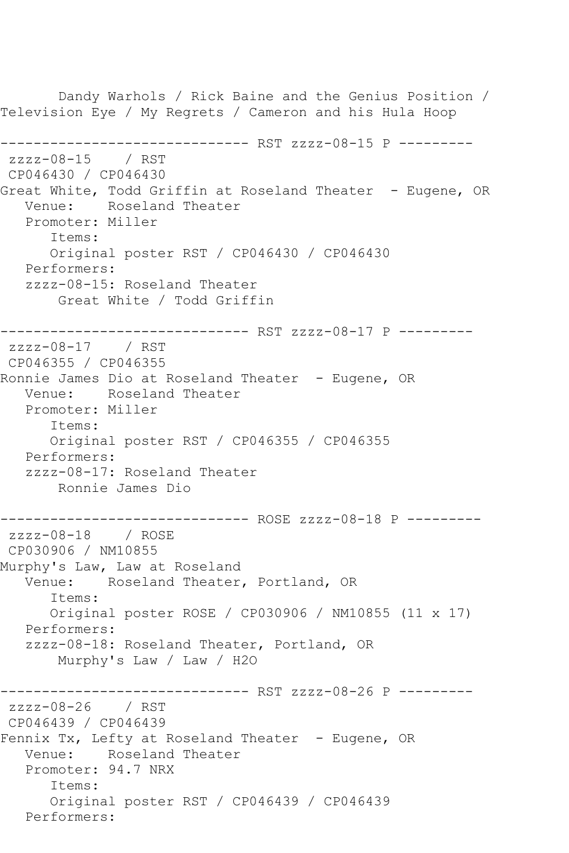Dandy Warhols / Rick Baine and the Genius Position / Television Eye / My Regrets / Cameron and his Hula Hoop ------------------------------ RST zzzz-08-15 P -------- zzzz-08-15 / RST CP046430 / CP046430 Great White, Todd Griffin at Roseland Theater - Eugene, OR Venue: Roseland Theater Promoter: Miller Items: Original poster RST / CP046430 / CP046430 Performers: zzzz-08-15: Roseland Theater Great White / Todd Griffin ------------------------------ RST zzzz-08-17 P -------- zzzz-08-17 / RST CP046355 / CP046355 Ronnie James Dio at Roseland Theater - Eugene, OR Venue: Roseland Theater Promoter: Miller Items: Original poster RST / CP046355 / CP046355 Performers: zzzz-08-17: Roseland Theater Ronnie James Dio ----------------------------- ROSE zzzz-08-18 P --------zzzz-08-18 / ROSE CP030906 / NM10855 Murphy's Law, Law at Roseland Venue: Roseland Theater, Portland, OR Items: Original poster ROSE / CP030906 / NM10855 (11 x 17) Performers: zzzz-08-18: Roseland Theater, Portland, OR Murphy's Law / Law / H2O ------------------------------ RST zzzz-08-26 P -------- zzzz-08-26 / RST CP046439 / CP046439 Fennix Tx, Lefty at Roseland Theater - Eugene, OR Venue: Roseland Theater Promoter: 94.7 NRX Items: Original poster RST / CP046439 / CP046439 Performers: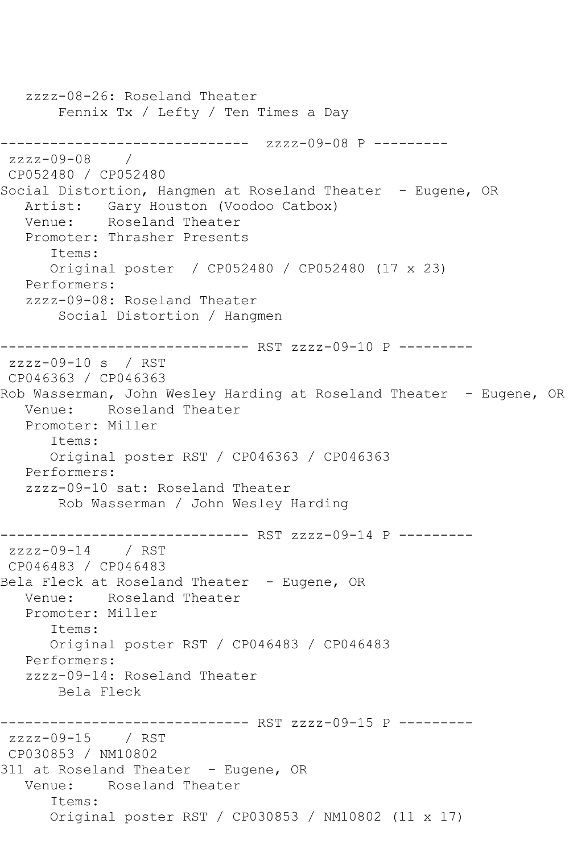zzzz-08-26: Roseland Theater Fennix Tx / Lefty / Ten Times a Day ------------------------------ zzzz-09-08 P --------  $zzzz-09-08$ CP052480 / CP052480 Social Distortion, Hangmen at Roseland Theater - Eugene, OR Artist: Gary Houston (Voodoo Catbox) Venue: Roseland Theater Promoter: Thrasher Presents Items: Original poster / CP052480 / CP052480 (17 x 23) Performers: zzzz-09-08: Roseland Theater Social Distortion / Hangmen ------------------------------ RST zzzz-09-10 P -------- zzzz-09-10 s / RST CP046363 / CP046363 Rob Wasserman, John Wesley Harding at Roseland Theater - Eugene, OR Venue: Roseland Theater Promoter: Miller Items: Original poster RST / CP046363 / CP046363 Performers: zzzz-09-10 sat: Roseland Theater Rob Wasserman / John Wesley Harding ------------------------------ RST zzzz-09-14 P -------- zzzz-09-14 / RST CP046483 / CP046483 Bela Fleck at Roseland Theater - Eugene, OR Venue: Roseland Theater Promoter: Miller Items: Original poster RST / CP046483 / CP046483 Performers: zzzz-09-14: Roseland Theater Bela Fleck ------------ RST zzzz-09-15 P --------zzzz-09-15 / RST CP030853 / NM10802 311 at Roseland Theater - Eugene, OR Venue: Roseland Theater Items: Original poster RST / CP030853 / NM10802 (11 x 17)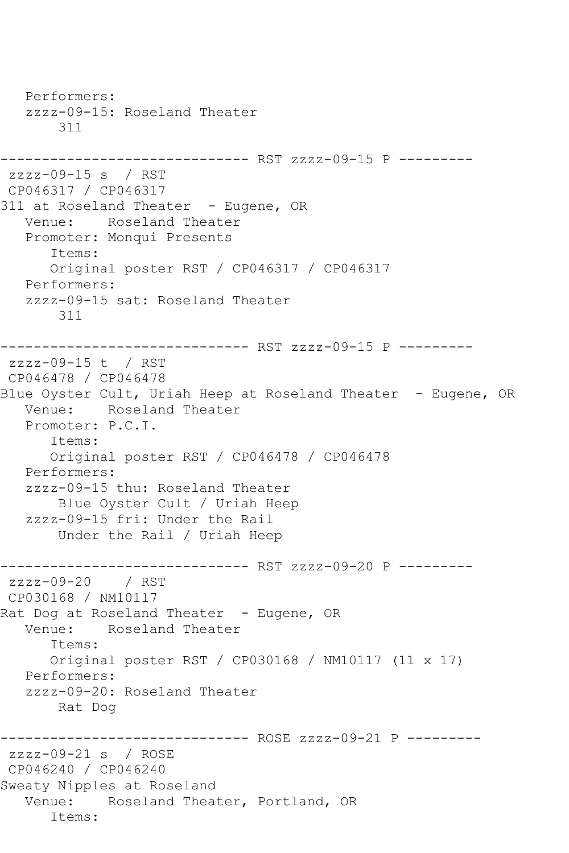Performers: zzzz-09-15: Roseland Theater 311 ------------------------------ RST zzzz-09-15 P -------- zzzz-09-15 s / RST CP046317 / CP046317 311 at Roseland Theater - Eugene, OR Venue: Roseland Theater Promoter: Monqui Presents Items: Original poster RST / CP046317 / CP046317 Performers: zzzz-09-15 sat: Roseland Theater 311 ------------------------------ RST zzzz-09-15 P -------- zzzz-09-15 t / RST CP046478 / CP046478 Blue Oyster Cult, Uriah Heep at Roseland Theater - Eugene, OR Venue: Roseland Theater Promoter: P.C.I. Items: Original poster RST / CP046478 / CP046478 Performers: zzzz-09-15 thu: Roseland Theater Blue Oyster Cult / Uriah Heep zzzz-09-15 fri: Under the Rail Under the Rail / Uriah Heep ------------------------------ RST zzzz-09-20 P -------- zzzz-09-20 / RST CP030168 / NM10117 Rat Dog at Roseland Theater - Eugene, OR Venue: Roseland Theater Items: Original poster RST / CP030168 / NM10117 (11 x 17) Performers: zzzz-09-20: Roseland Theater Rat Dog ------------------------------ ROSE zzzz-09-21 P -------- zzzz-09-21 s / ROSE CP046240 / CP046240 Sweaty Nipples at Roseland Venue: Roseland Theater, Portland, OR Items: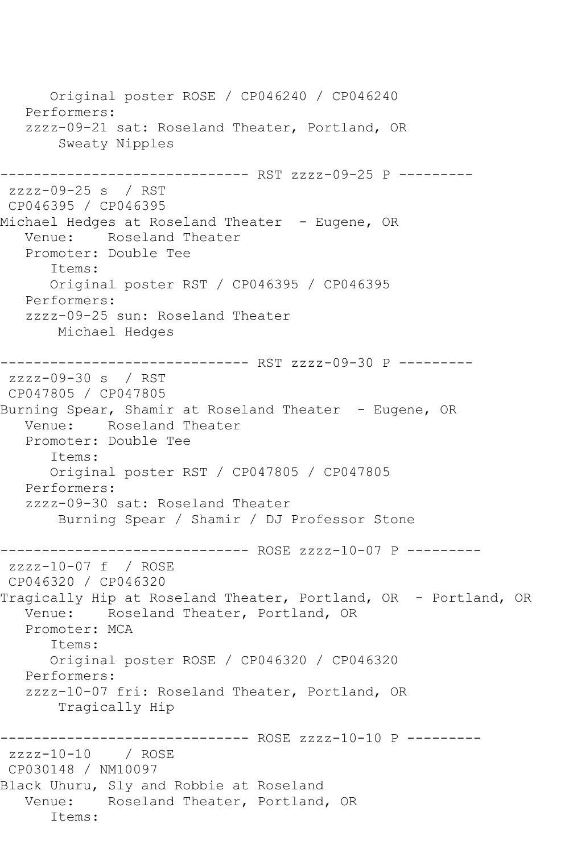Original poster ROSE / CP046240 / CP046240 Performers: zzzz-09-21 sat: Roseland Theater, Portland, OR Sweaty Nipples ------------------------------ RST zzzz-09-25 P -------- zzzz-09-25 s / RST CP046395 / CP046395 Michael Hedges at Roseland Theater - Eugene, OR Venue: Roseland Theater Promoter: Double Tee Items: Original poster RST / CP046395 / CP046395 Performers: zzzz-09-25 sun: Roseland Theater Michael Hedges ------------------------------ RST zzzz-09-30 P -------- zzzz-09-30 s / RST CP047805 / CP047805 Burning Spear, Shamir at Roseland Theater - Eugene, OR Venue: Roseland Theater Promoter: Double Tee Items: Original poster RST / CP047805 / CP047805 Performers: zzzz-09-30 sat: Roseland Theater Burning Spear / Shamir / DJ Professor Stone ----------------------------- ROSE zzzz-10-07 P --------zzzz-10-07 f / ROSE CP046320 / CP046320 Tragically Hip at Roseland Theater, Portland, OR - Portland, OR Venue: Roseland Theater, Portland, OR Promoter: MCA Items: Original poster ROSE / CP046320 / CP046320 Performers: zzzz-10-07 fri: Roseland Theater, Portland, OR Tragically Hip ------------------------------ ROSE zzzz-10-10 P -------- zzzz-10-10 / ROSE CP030148 / NM10097 Black Uhuru, Sly and Robbie at Roseland Venue: Roseland Theater, Portland, OR Items: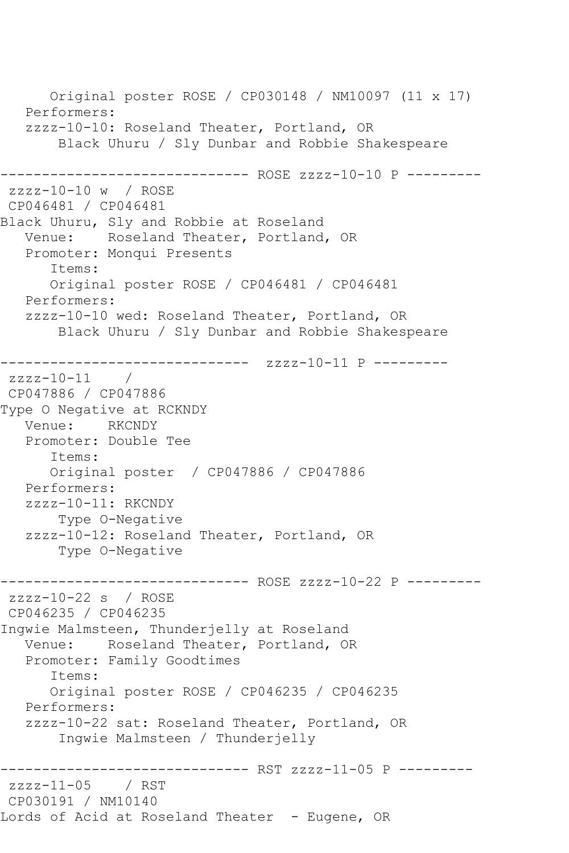Original poster ROSE / CP030148 / NM10097 (11 x 17) Performers: zzzz-10-10: Roseland Theater, Portland, OR Black Uhuru / Sly Dunbar and Robbie Shakespeare ------------------------------ ROSE zzzz-10-10 P -------- zzzz-10-10 w / ROSE CP046481 / CP046481 Black Uhuru, Sly and Robbie at Roseland Venue: Roseland Theater, Portland, OR Promoter: Monqui Presents Items: Original poster ROSE / CP046481 / CP046481 Performers: zzzz-10-10 wed: Roseland Theater, Portland, OR Black Uhuru / Sly Dunbar and Robbie Shakespeare ------------------------------ zzzz-10-11 P -------- zzzz-10-11 / CP047886 / CP047886 Type O Negative at RCKNDY Venue: RKCNDY Promoter: Double Tee Items: Original poster / CP047886 / CP047886 Performers: zzzz-10-11: RKCNDY Type O-Negative zzzz-10-12: Roseland Theater, Portland, OR Type O-Negative ------------------------------ ROSE zzzz-10-22 P -------- zzzz-10-22 s / ROSE CP046235 / CP046235 Ingwie Malmsteen, Thunderjelly at Roseland Venue: Roseland Theater, Portland, OR Promoter: Family Goodtimes Items: Original poster ROSE / CP046235 / CP046235 Performers: zzzz-10-22 sat: Roseland Theater, Portland, OR Ingwie Malmsteen / Thunderjelly --------------------- RST zzzz-11-05 P ----------<br>; / RST  $zzzz-11-05$ CP030191 / NM10140 Lords of Acid at Roseland Theater - Eugene, OR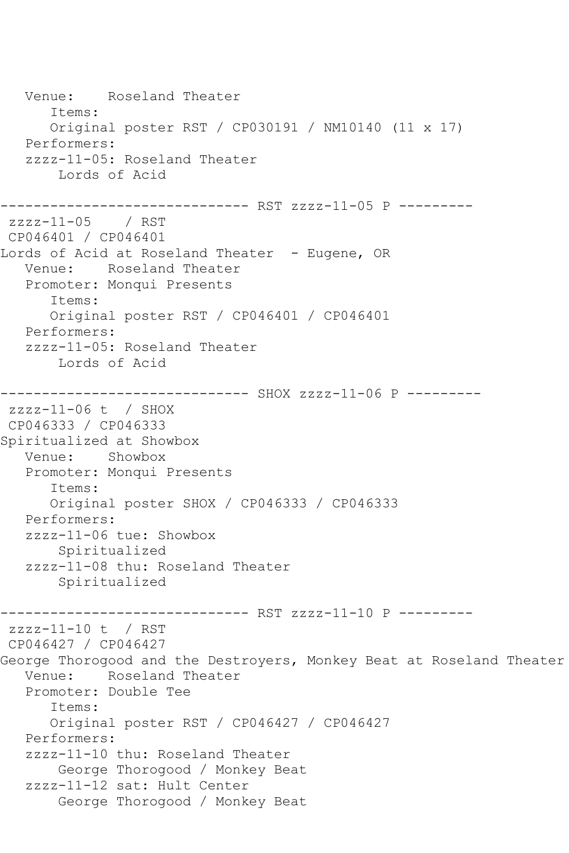Venue: Roseland Theater Items: Original poster RST / CP030191 / NM10140 (11 x 17) Performers: zzzz-11-05: Roseland Theater Lords of Acid ------------------------------ RST zzzz-11-05 P -------- zzzz-11-05 / RST CP046401 / CP046401 Lords of Acid at Roseland Theater - Eugene, OR Venue: Roseland Theater Promoter: Monqui Presents Items: Original poster RST / CP046401 / CP046401 Performers: zzzz-11-05: Roseland Theater Lords of Acid ------------------------------ SHOX zzzz-11-06 P -------- zzzz-11-06 t / SHOX CP046333 / CP046333 Spiritualized at Showbox Venue: Showbox Promoter: Monqui Presents Items: Original poster SHOX / CP046333 / CP046333 Performers: zzzz-11-06 tue: Showbox Spiritualized zzzz-11-08 thu: Roseland Theater Spiritualized ------------------------------ RST zzzz-11-10 P -------- zzzz-11-10 t / RST CP046427 / CP046427 George Thorogood and the Destroyers, Monkey Beat at Roseland Theater Venue: Roseland Theater Promoter: Double Tee Items: Original poster RST / CP046427 / CP046427 Performers: zzzz-11-10 thu: Roseland Theater George Thorogood / Monkey Beat zzzz-11-12 sat: Hult Center George Thorogood / Monkey Beat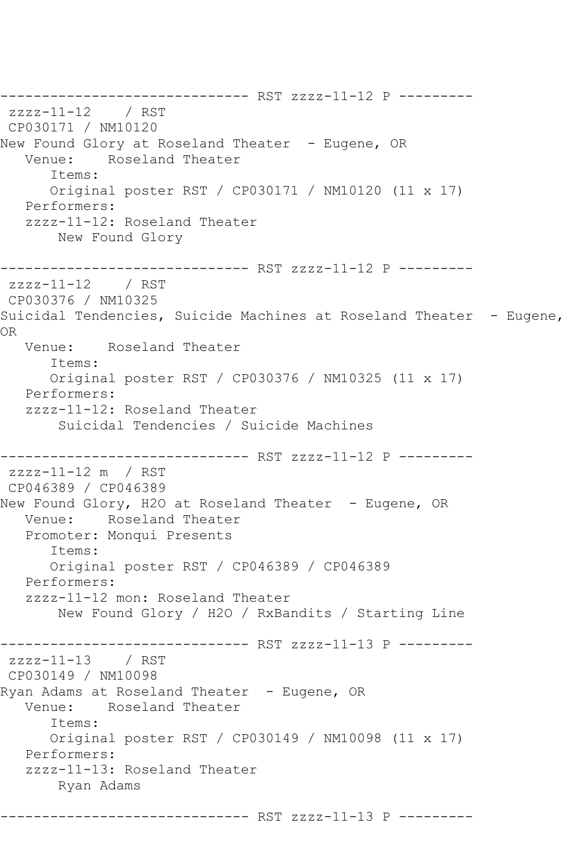------------------------------ RST zzzz-11-12 P -------- zzzz-11-12 / RST CP030171 / NM10120 New Found Glory at Roseland Theater - Eugene, OR Venue: Roseland Theater Items: Original poster RST / CP030171 / NM10120 (11 x 17) Performers: zzzz-11-12: Roseland Theater New Found Glory ------------------------------ RST zzzz-11-12 P -------- zzzz-11-12 / RST CP030376 / NM10325 Suicidal Tendencies, Suicide Machines at Roseland Theater - Eugene, OR Venue: Roseland Theater Items: Original poster RST / CP030376 / NM10325 (11 x 17) Performers: zzzz-11-12: Roseland Theater Suicidal Tendencies / Suicide Machines ------------------------------ RST zzzz-11-12 P -------- zzzz-11-12 m / RST CP046389 / CP046389 New Found Glory, H2O at Roseland Theater - Eugene, OR Venue: Roseland Theater Promoter: Monqui Presents Items: Original poster RST / CP046389 / CP046389 Performers: zzzz-11-12 mon: Roseland Theater New Found Glory / H2O / RxBandits / Starting Line ------------------------------ RST zzzz-11-13 P -------- zzzz-11-13 / RST CP030149 / NM10098 Ryan Adams at Roseland Theater – Eugene, OR<br>Venue: Roseland Theater Roseland Theater Items: Original poster RST / CP030149 / NM10098 (11 x 17) Performers: zzzz-11-13: Roseland Theater Ryan Adams ------------------------------ RST zzzz-11-13 P ---------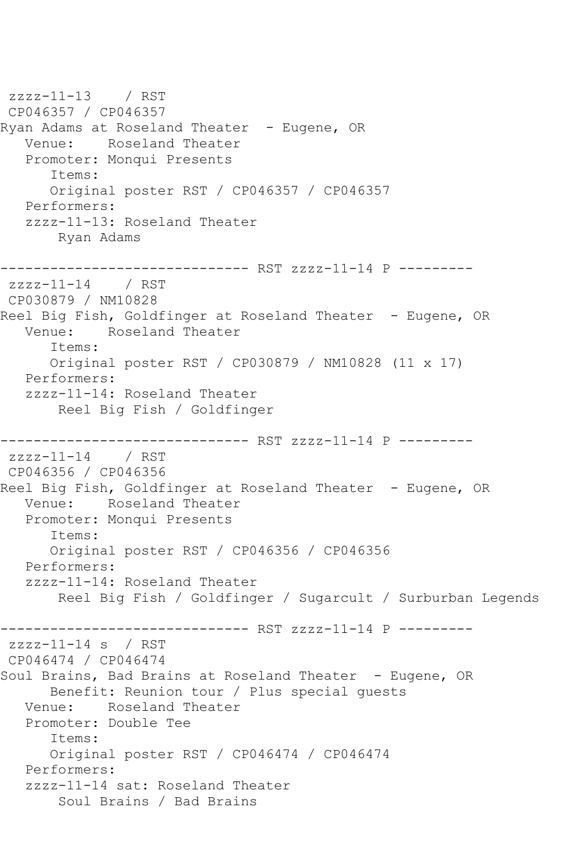zzzz-11-13 / RST CP046357 / CP046357 Ryan Adams at Roseland Theater - Eugene, OR Venue: Roseland Theater Promoter: Monqui Presents Items: Original poster RST / CP046357 / CP046357 Performers: zzzz-11-13: Roseland Theater Ryan Adams ------------------------------ RST zzzz-11-14 P -------- zzzz-11-14 / RST CP030879 / NM10828 Reel Big Fish, Goldfinger at Roseland Theater - Eugene, OR Venue: Roseland Theater Items: Original poster RST / CP030879 / NM10828 (11 x 17) Performers: zzzz-11-14: Roseland Theater Reel Big Fish / Goldfinger ------------------------------ RST zzzz-11-14 P -------- zzzz-11-14 / RST CP046356 / CP046356 Reel Big Fish, Goldfinger at Roseland Theater - Eugene, OR Venue: Roseland Theater Promoter: Monqui Presents Items: Original poster RST / CP046356 / CP046356 Performers: zzzz-11-14: Roseland Theater Reel Big Fish / Goldfinger / Sugarcult / Surburban Legends ------------------------------ RST zzzz-11-14 P -------- zzzz-11-14 s / RST CP046474 / CP046474 Soul Brains, Bad Brains at Roseland Theater - Eugene, OR Benefit: Reunion tour / Plus special guests Venue: Roseland Theater Promoter: Double Tee Items: Original poster RST / CP046474 / CP046474 Performers: zzzz-11-14 sat: Roseland Theater Soul Brains / Bad Brains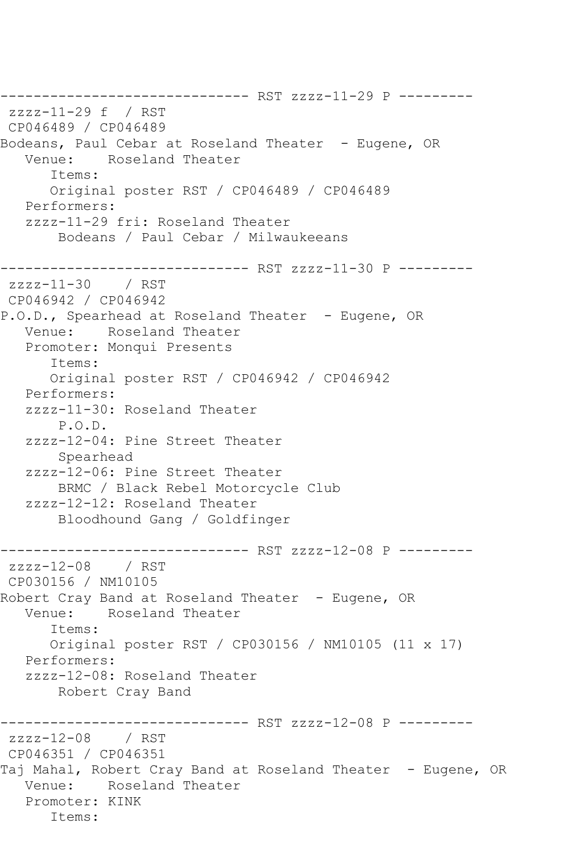------------------------------ RST zzzz-11-29 P -------- zzzz-11-29 f / RST CP046489 / CP046489 Bodeans, Paul Cebar at Roseland Theater - Eugene, OR<br>Venue: Roseland Theater Roseland Theater Items: Original poster RST / CP046489 / CP046489 Performers: zzzz-11-29 fri: Roseland Theater Bodeans / Paul Cebar / Milwaukeeans ------------------------------ RST zzzz-11-30 P --------  $zzzz-11-30$ CP046942 / CP046942 P.O.D., Spearhead at Roseland Theater - Eugene, OR Venue: Roseland Theater Promoter: Monqui Presents Items: Original poster RST / CP046942 / CP046942 Performers: zzzz-11-30: Roseland Theater P.O.D. zzzz-12-04: Pine Street Theater Spearhead zzzz-12-06: Pine Street Theater BRMC / Black Rebel Motorcycle Club zzzz-12-12: Roseland Theater Bloodhound Gang / Goldfinger ------------------------------ RST zzzz-12-08 P -------- zzzz-12-08 / RST CP030156 / NM10105 Robert Cray Band at Roseland Theater - Eugene, OR<br>Venue: Roseland Theater Roseland Theater Items: Original poster RST / CP030156 / NM10105 (11 x 17) Performers: zzzz-12-08: Roseland Theater Robert Cray Band ------------------------------ RST zzzz-12-08 P -------- zzzz-12-08 / RST CP046351 / CP046351 Taj Mahal, Robert Cray Band at Roseland Theater - Eugene, OR Venue: Roseland Theater Promoter: KINK Items: